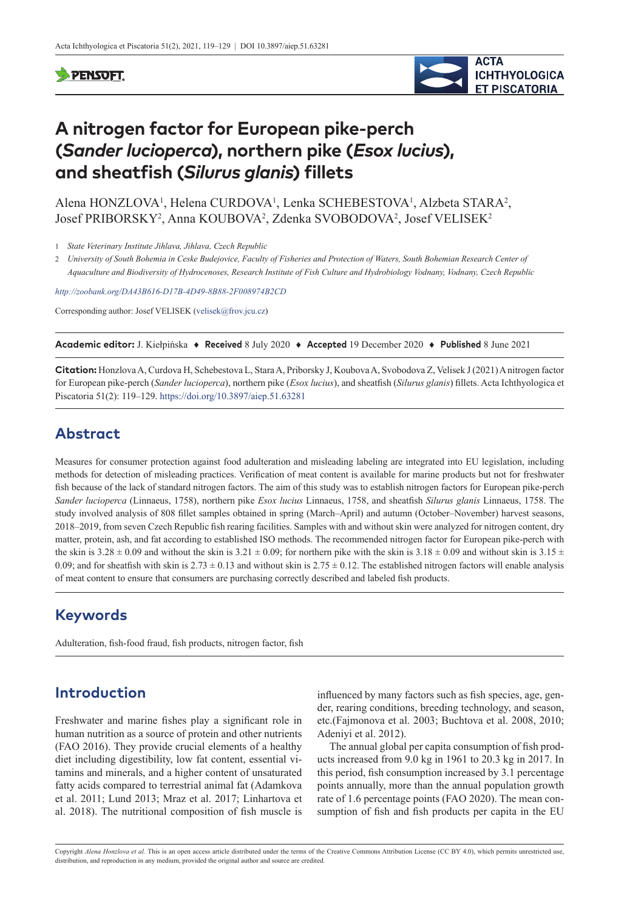### **PENSOFT**



# **A nitrogen factor for European pike-perch (***Sander lucioperca***), northern pike (***Esox lucius***), and sheatfish (***Silurus glanis***) fillets**

Alena HONZLOVA<sup>1</sup>, Helena CURDOVA<sup>1</sup>, Lenka SCHEBESTOVA<sup>1</sup>, Alzbeta STARA<sup>2</sup>, Josef PRIBORSKY<sup>2</sup>, Anna KOUBOVA<sup>2</sup>, Zdenka SVOBODOVA<sup>2</sup>, Josef VELISEK<sup>2</sup>

1 *State Veterinary Institute Jihlava, Jihlava, Czech Republic*

2 *University of South Bohemia in Ceske Budejovice, Faculty of Fisheries and Protection of Waters, South Bohemian Research Center of Aquaculture and Biodiversity of Hydrocenoses, Research Institute of Fish Culture and Hydrobiology Vodnany, Vodnany, Czech Republic*

*<http://zoobank.org/DA43B616-D17B-4D49-8B88-2F008974B2CD>*

Corresponding author: Josef VELISEK ([velisek@frov.jcu.cz](mailto:velisek@frov.jcu.cz))

**Academic editor:** J. Kiełpińska ♦ **Received** 8 July 2020 ♦ **Accepted** 19 December 2020 ♦ **Published** 8 June 2021

**Citation:** Honzlova A, Curdova H, Schebestova L, Stara A, Priborsky J, Koubova A, Svobodova Z, Velisek J (2021) A nitrogen factor for European pike-perch (*Sander lucioperca*), northern pike (*Esox lucius*), and sheatfish (*Silurus glanis*) fillets. Acta Ichthyologica et Piscatoria 51(2): 119–129. <https://doi.org/10.3897/aiep.51.63281>

# **Abstract**

Measures for consumer protection against food adulteration and misleading labeling are integrated into EU legislation, including methods for detection of misleading practices. Verification of meat content is available for marine products but not for freshwater fish because of the lack of standard nitrogen factors. The aim of this study was to establish nitrogen factors for European pike-perch *Sander lucioperca* (Linnaeus, 1758), northern pike *Esox lucius* Linnaeus, 1758, and sheatfish *Silurus glanis* Linnaeus, 1758. The study involved analysis of 808 fillet samples obtained in spring (March–April) and autumn (October–November) harvest seasons, 2018–2019, from seven Czech Republic fish rearing facilities. Samples with and without skin were analyzed for nitrogen content, dry matter, protein, ash, and fat according to established ISO methods. The recommended nitrogen factor for European pike-perch with the skin is  $3.28 \pm 0.09$  and without the skin is  $3.21 \pm 0.09$ ; for northern pike with the skin is  $3.18 \pm 0.09$  and without skin is  $3.15 \pm 0.09$ 0.09; and for sheatfish with skin is  $2.73 \pm 0.13$  and without skin is  $2.75 \pm 0.12$ . The established nitrogen factors will enable analysis of meat content to ensure that consumers are purchasing correctly described and labeled fish products.

# **Keywords**

Adulteration, fish-food fraud, fish products, nitrogen factor, fish

# **Introduction**

Freshwater and marine fishes play a significant role in human nutrition as a source of protein and other nutrients (FAO 2016). They provide crucial elements of a healthy diet including digestibility, low fat content, essential vitamins and minerals, and a higher content of unsaturated fatty acids compared to terrestrial animal fat (Adamkova et al. 2011; Lund 2013; Mraz et al. 2017; Linhartova et al. 2018). The nutritional composition of fish muscle is influenced by many factors such as fish species, age, gender, rearing conditions, breeding technology, and season, etc.(Fajmonova et al. 2003; Buchtova et al. 2008, 2010; Adeniyi et al. 2012).

The annual global per capita consumption of fish products increased from 9.0 kg in 1961 to 20.3 kg in 2017. In this period, fish consumption increased by 3.1 percentage points annually, more than the annual population growth rate of 1.6 percentage points (FAO 2020). The mean consumption of fish and fish products per capita in the EU

Copyright *Alena Honzlova et al.* This is an open access article distributed under the terms of the [Creative Commons Attribution License \(CC BY 4.0\),](http://creativecommons.org/licenses/by/4.0/) which permits unrestricted use, distribution, and reproduction in any medium, provided the original author and source are credited.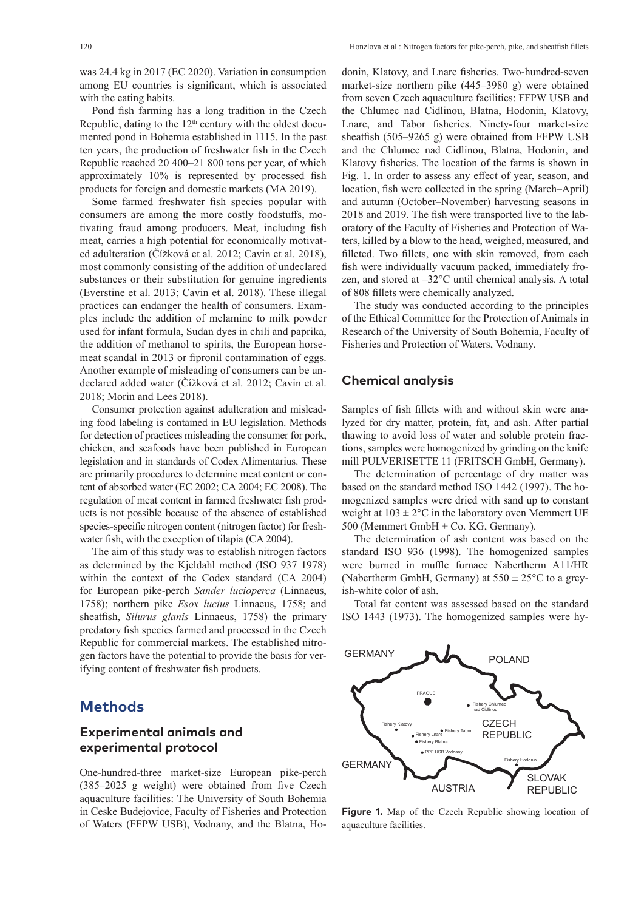was 24.4 kg in 2017 (EC 2020). Variation in consumption among EU countries is significant, which is associated with the eating habits.

Pond fish farming has a long tradition in the Czech Republic, dating to the  $12<sup>th</sup>$  century with the oldest documented pond in Bohemia established in 1115. In the past ten years, the production of freshwater fish in the Czech Republic reached 20 400–21 800 tons per year, of which approximately 10% is represented by processed fish products for foreign and domestic markets (MA 2019).

Some farmed freshwater fish species popular with consumers are among the more costly foodstuffs, motivating fraud among producers. Meat, including fish meat, carries a high potential for economically motivated adulteration (Čížková et al. 2012; Cavin et al. 2018), most commonly consisting of the addition of undeclared substances or their substitution for genuine ingredients (Everstine et al. 2013; Cavin et al. 2018). These illegal practices can endanger the health of consumers. Examples include the addition of melamine to milk powder used for infant formula, Sudan dyes in chili and paprika, the addition of methanol to spirits, the European horsemeat scandal in 2013 or fipronil contamination of eggs. Another example of misleading of consumers can be undeclared added water (Čížková et al. 2012; Cavin et al. 2018; Morin and Lees 2018).

Consumer protection against adulteration and misleading food labeling is contained in EU legislation. Methods for detection of practices misleading the consumer for pork, chicken, and seafoods have been published in European legislation and in standards of Codex Alimentarius. These are primarily procedures to determine meat content or content of absorbed water (EC 2002; CA 2004; EC 2008). The regulation of meat content in farmed freshwater fish products is not possible because of the absence of established species-specific nitrogen content (nitrogen factor) for freshwater fish, with the exception of tilapia (CA 2004).

The aim of this study was to establish nitrogen factors as determined by the Kjeldahl method (ISO 937 1978) within the context of the Codex standard (CA 2004) for European pike-perch *Sander lucioperca* (Linnaeus, 1758); northern pike *Esox lucius* Linnaeus, 1758; and sheatfish, *Silurus glanis* Linnaeus, 1758) the primary predatory fish species farmed and processed in the Czech Republic for commercial markets. The established nitrogen factors have the potential to provide the basis for verifying content of freshwater fish products.

## **Methods**

### **Experimental animals and experimental protocol**

One-hundred-three market-size European pike-perch (385–2025 g weight) were obtained from five Czech aquaculture facilities: The University of South Bohemia in Ceske Budejovice, Faculty of Fisheries and Protection of Waters (FFPW USB), Vodnany, and the Blatna, Hodonin, Klatovy, and Lnare fisheries. Two-hundred-seven market-size northern pike (445–3980 g) were obtained from seven Czech aquaculture facilities: FFPW USB and the Chlumec nad Cidlinou, Blatna, Hodonin, Klatovy, Lnare, and Tabor fisheries. Ninety-four market-size sheatfish (505–9265 g) were obtained from FFPW USB and the Chlumec nad Cidlinou, Blatna, Hodonin, and Klatovy fisheries. The location of the farms is shown in Fig. 1. In order to assess any effect of year, season, and location, fish were collected in the spring (March–April) and autumn (October–November) harvesting seasons in 2018 and 2019. The fish were transported live to the laboratory of the Faculty of Fisheries and Protection of Waters, killed by a blow to the head, weighed, measured, and filleted. Two fillets, one with skin removed, from each fish were individually vacuum packed, immediately frozen, and stored at –32°C until chemical analysis. A total of 808 fillets were chemically analyzed.

The study was conducted according to the principles of the Ethical Committee for the Protection of Animals in Research of the University of South Bohemia, Faculty of Fisheries and Protection of Waters, Vodnany.

### **Chemical analysis**

Samples of fish fillets with and without skin were analyzed for dry matter, protein, fat, and ash. After partial thawing to avoid loss of water and soluble protein fractions, samples were homogenized by grinding on the knife mill PULVERISETTE 11 (FRITSCH GmbH, Germany).

The determination of percentage of dry matter was based on the standard method ISO 1442 (1997). The homogenized samples were dried with sand up to constant weight at  $103 \pm 2$ °C in the laboratory oven Memmert UE 500 (Memmert GmbH + Co. KG, Germany).

The determination of ash content was based on the standard ISO 936 (1998). The homogenized samples were burned in muffle furnace Nabertherm A11/HR (Nabertherm GmbH, Germany) at  $550 \pm 25^{\circ}$ C to a greyish-white color of ash.

Total fat content was assessed based on the standard ISO 1443 (1973). The homogenized samples were hy-



**Figure 1.** Map of the Czech Republic showing location of aquaculture facilities.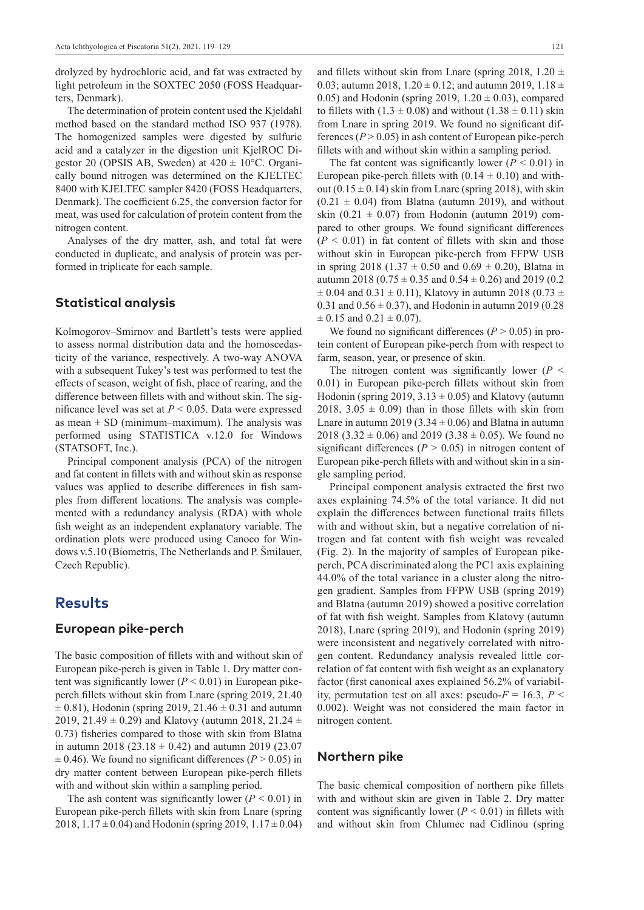drolyzed by hydrochloric acid, and fat was extracted by light petroleum in the SOXTEC 2050 (FOSS Headquarters, Denmark).

The determination of protein content used the Kjeldahl method based on the standard method ISO 937 (1978). The homogenized samples were digested by sulfuric acid and a catalyzer in the digestion unit KjelROC Digestor 20 (OPSIS AB, Sweden) at  $420 \pm 10^{\circ}$ C. Organically bound nitrogen was determined on the KJELTEC 8400 with KJELTEC sampler 8420 (FOSS Headquarters, Denmark). The coefficient 6.25, the conversion factor for meat, was used for calculation of protein content from the nitrogen content.

Analyses of the dry matter, ash, and total fat were conducted in duplicate, and analysis of protein was performed in triplicate for each sample.

#### **Statistical analysis**

Kolmogorov–Smirnov and Bartlett's tests were applied to assess normal distribution data and the homoscedasticity of the variance, respectively. A two-way ANOVA with a subsequent Tukey's test was performed to test the effects of season, weight of fish, place of rearing, and the difference between fillets with and without skin. The significance level was set at *P* < 0.05. Data were expressed as mean  $\pm$  SD (minimum–maximum). The analysis was performed using STATISTICA v.12.0 for Windows (STATSOFT, Inc.).

Principal component analysis (PCA) of the nitrogen and fat content in fillets with and without skin as response values was applied to describe differences in fish samples from different locations. The analysis was complemented with a redundancy analysis (RDA) with whole fish weight as an independent explanatory variable. The ordination plots were produced using Canoco for Windows v.5.10 (Biometris, The Netherlands and P. Šmilauer, Czech Republic).

### **Results**

#### **European pike-perch**

The basic composition of fillets with and without skin of European pike-perch is given in Table 1. Dry matter content was significantly lower  $(P < 0.01)$  in European pikeperch fillets without skin from Lnare (spring 2019, 21.40  $\pm$  0.81), Hodonin (spring 2019, 21.46  $\pm$  0.31 and autumn 2019, 21.49  $\pm$  0.29) and Klatovy (autumn 2018, 21.24  $\pm$ 0.73) fisheries compared to those with skin from Blatna in autumn 2018 (23.18  $\pm$  0.42) and autumn 2019 (23.07  $\pm$  0.46). We found no significant differences ( $P > 0.05$ ) in dry matter content between European pike-perch fillets with and without skin within a sampling period.

The ash content was significantly lower  $(P < 0.01)$  in European pike-perch fillets with skin from Lnare (spring 2018,  $1.17 \pm 0.04$ ) and Hodonin (spring 2019,  $1.17 \pm 0.04$ )

and fillets without skin from Lnare (spring 2018, 1.20  $\pm$ 0.03; autumn 2018,  $1.20 \pm 0.12$ ; and autumn 2019,  $1.18 \pm 0.03$ 0.05) and Hodonin (spring 2019,  $1.20 \pm 0.03$ ), compared to fillets with  $(1.3 \pm 0.08)$  and without  $(1.38 \pm 0.11)$  skin from Lnare in spring 2019. We found no significant differences  $(P > 0.05)$  in ash content of European pike-perch fillets with and without skin within a sampling period.

The fat content was significantly lower  $(P < 0.01)$  in European pike-perch fillets with  $(0.14 \pm 0.10)$  and without  $(0.15 \pm 0.14)$  skin from Lnare (spring 2018), with skin  $(0.21 \pm 0.04)$  from Blatna (autumn 2019), and without skin  $(0.21 \pm 0.07)$  from Hodonin (autumn 2019) compared to other groups. We found significant differences  $(P < 0.01)$  in fat content of fillets with skin and those without skin in European pike-perch from FFPW USB in spring 2018 (1.37  $\pm$  0.50 and 0.69  $\pm$  0.20), Blatna in autumn 2018 (0.75  $\pm$  0.35 and 0.54  $\pm$  0.26) and 2019 (0.2  $\pm$  0.04 and 0.31  $\pm$  0.11), Klatovy in autumn 2018 (0.73  $\pm$ 0.31 and  $0.56 \pm 0.37$ ), and Hodonin in autumn 2019 (0.28)  $\pm$  0.15 and 0.21  $\pm$  0.07).

We found no significant differences  $(P > 0.05)$  in protein content of European pike-perch from with respect to farm, season, year, or presence of skin.

The nitrogen content was significantly lower ( $P <$ 0.01) in European pike-perch fillets without skin from Hodonin (spring 2019,  $3.13 \pm 0.05$ ) and Klatovy (autumn 2018, 3.05  $\pm$  0.09) than in those fillets with skin from Lnare in autumn 2019 (3.34  $\pm$  0.06) and Blatna in autumn 2018 (3.32  $\pm$  0.06) and 2019 (3.38  $\pm$  0.05). We found no significant differences ( $P > 0.05$ ) in nitrogen content of European pike-perch fillets with and without skin in a single sampling period.

Principal component analysis extracted the first two axes explaining 74.5% of the total variance. It did not explain the differences between functional traits fillets with and without skin, but a negative correlation of nitrogen and fat content with fish weight was revealed (Fig. 2). In the majority of samples of European pikeperch, PCA discriminated along the PC1 axis explaining 44.0% of the total variance in a cluster along the nitrogen gradient. Samples from FFPW USB (spring 2019) and Blatna (autumn 2019) showed a positive correlation of fat with fish weight. Samples from Klatovy (autumn 2018), Lnare (spring 2019), and Hodonin (spring 2019) were inconsistent and negatively correlated with nitrogen content. Redundancy analysis revealed little correlation of fat content with fish weight as an explanatory factor (first canonical axes explained 56.2% of variability, permutation test on all axes: pseudo- $F = 16.3$ ,  $P \le$ 0.002). Weight was not considered the main factor in nitrogen content.

#### **Northern pike**

The basic chemical composition of northern pike fillets with and without skin are given in Table 2. Dry matter content was significantly lower  $(P < 0.01)$  in fillets with and without skin from Chlumec nad Cidlinou (spring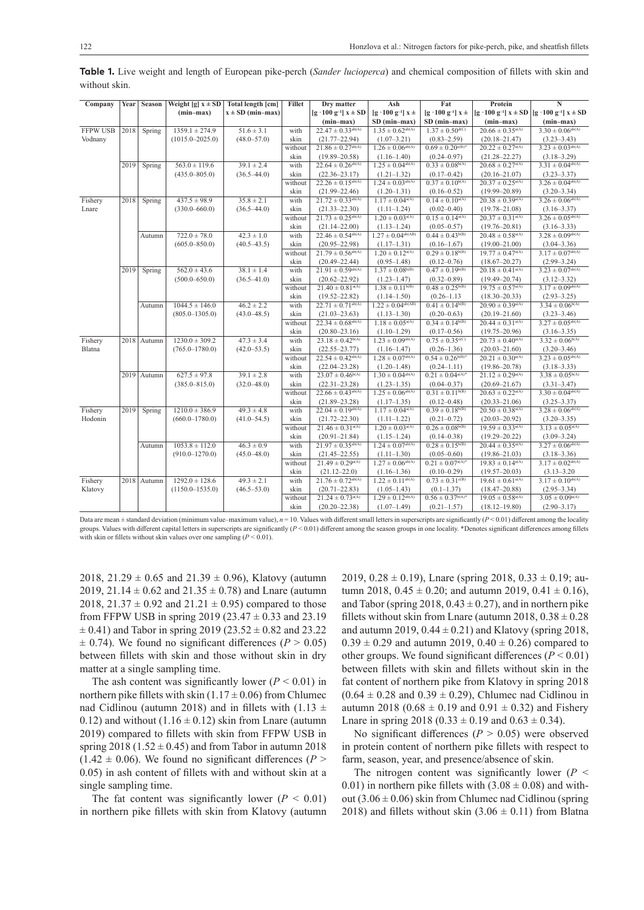| Company         | Year | Season      | Weight [g] $x \pm SD$ | <b>Total length [cm]</b> | <b>Fillet</b> | Dry matter                        | Ash                             | Fat                              | Protein                          | N                               |
|-----------------|------|-------------|-----------------------|--------------------------|---------------|-----------------------------------|---------------------------------|----------------------------------|----------------------------------|---------------------------------|
|                 |      |             | $(min-max)$           | $x \pm SD$ (min-max)     |               | $[g \cdot 100 g^{-1}]$ x $\pm$ SD | $[g \cdot 100 g^{-1}] x \pm$    | $[g \cdot 100 g^{-1}] x \pm$     | $[g \cdot 100 g^{-1}] x \pm SD$  | $[g \cdot 100 g^{-1}] x \pm SD$ |
|                 |      |             |                       |                          |               | $(min-max)$                       | SD (min-max)                    | SD (min-max)                     | $(min-max)$                      | $(min-max)$                     |
| <b>FFPW USB</b> | 2018 | Spring      | $1359.1 \pm 274.9$    | $51.6 \pm 3.1$           | with          | $22.47 \pm 0.33^{ab(A)}$          | $1.35 \pm 0.62^{ab(A)}$         | $1.37 \pm 0.50^{\text{d(C)}}$    | $20.66 \pm 0.35^{\text{a(A)}}$   | $3.30 \pm 0.06^{ab(A)}$         |
| Vodnany         |      |             | $(1015.0 - 2025.0)$   | $(48.0 - 57.0)$          | skin          | $(21.77 - 22.94)$                 | $(1.07 - 3.21)$                 | $(0.83 - 2.59)$                  | $(20.18 - 21.47)$                | $(3.23 - 3.43)$                 |
|                 |      |             |                       |                          | without       | $21.86 \pm 0.27^{ab(A)}$          | $1.26 \pm 0.06^{ab(A)}$         | $0.69 \pm 0.20^{\circ(B)^*}$     | $20.22 \pm 0.27^{\text{a(A)}}$   | $3.23 \pm 0.03^{ab(A)}$         |
|                 |      |             |                       |                          | skin          | $(19.89 - 20.58)$                 | $(1.16 - 1.40)$                 | $(0.24 - 0.97)$                  | $(21.28 - 22.27)$                | $(3.18 - 3.29)$                 |
|                 | 2019 | Spring      | $563.0 \pm 119.6$     | $39.1 \pm 2.4$           | with          | $22.64 \pm 0.26^{ab(A)}$          | $1.25 \pm 0.04^{ab(A)}$         | $0.33 \pm 0.08^{b(A)}$           | $20.68 \pm 0.27$ <sup>a(A)</sup> | $3.31 \pm 0.04^{ab(A)}$         |
|                 |      |             | $(435.0 - 805.0)$     | $(36.5 - 44.0)$          | skin          | $(22.36 - 23.17)$                 | $(1.21 - 1.32)$                 | $(0.17 - 0.42)$                  | $(20.16 - 21.07)$                | $(3.23 - 3.37)$                 |
|                 |      |             |                       |                          | without       | $22.26 \pm 0.15^{ab(A)}$          | $1.24 \pm 0.03^{ab(A)}$         | $0.37 \pm 0.10^{b(A)}$           | $20.37 \pm 0.25$ <sup>a(A)</sup> | $3.26 \pm 0.04^{ab(A)}$         |
|                 |      |             |                       |                          | skin          | $(21.99 - 22.46)$                 | $(1.20 - 1.31)$                 | $(0.16 - 0.52)$                  | $(19.99 - 20.89)$                | $(3.20 - 3.34)$                 |
| Fishery         | 2018 | Spring      | $437.5 \pm 98.9$      | $35.8 \pm 2.1$           | with          | $21.72 \pm 0.33^{ab(A)}$          | $1.17 \pm 0.04^{\text{a(A)}}$   | $0.14 \pm 0.10^{a(A)}$           | $20.38 \pm 0.39^{\text{a(A)}}$   | $3.26 \pm 0.06^{ab(A)}$         |
| Lnare           |      |             | $(330.0 - 660.0)$     | $(36.5 - 44.0)$          | skin          | $(21.33 - 22.30)$                 | $(1.11-1.24)$                   | $(0.02 - 0.40)$                  | $(19.78 - 21.08)$                | $(3.16 - 3.37)$                 |
|                 |      |             |                       |                          | without       | $21.73 \pm 0.25^{ab(A)}$          | $1.20 \pm 0.03^{\text{a(A)}}$   | $0.15 \pm 0.14^{\text{a(A)}}$    | $20.37 \pm 0.31$ <sup>a(A)</sup> | $3.26 \pm 0.05^{ab(A)}$         |
|                 |      |             |                       |                          | skin          | $(21.14 - 22.00)$                 | $(1.13 - 1.24)$                 | $(0.05 - 0.57)$                  | $(19.76 - 20.81)$                | $(3.16 - 3.33)$                 |
|                 |      | Autumn      | $722.0 \pm 78.0$      | $42.3 \pm 1.0$           | with          | $22.46 \pm 0.54^{ab(A)}$          | $1.27 \pm 0.04^{\text{ab(AB)}}$ | $0.44 \pm 0.43^{b(B)}$           | $20.48 \pm 0.58^{\text{a(A)}}$   | $3.28 \pm 0.09^{ab(A)}$         |
|                 |      |             | $(605.0 - 850.0)$     | $(40.5 - 43.5)$          | skin          | $(20.95 - 22.98)$                 | $(1.17 - 1.31)$                 | $(0.16 - 1.67)$                  | $(19.00 - 21.00)$                | $(3.04 - 3.36)$                 |
|                 |      |             |                       |                          | without       | $21.79 \pm 0.56^{ab(A)}$          | $1.20 \pm 0.12^{\text{a(A)}}$   | $0.29 \pm 0.18^{b(B)}$           | $19.77 \pm 0.47$ <sup>a(A)</sup> | $3.17 \pm 0.07^{ab(A)}$         |
|                 |      |             |                       |                          | skin          | $(20.49 - 22.44)$                 | $(0.95 - 1.48)$                 | $(0.12 - 0.76)$                  | $(18.67 - 20.27)$                | $(2.99 - 3.24)$                 |
|                 | 2019 | Spring      | $562.0 \pm 43.6$      | $38.1 \pm 1.4$           | with          | $21.91 \pm 0.59^{ab(A)}$          | $1.37 \pm 0.08^{b(B)}$          | $0.47 \pm 0.19^{b(B)}$           | $20.18 \pm 0.41^{\text{a(A)}}$   | $3.23 \pm 0.07^{ab(A)}$         |
|                 |      |             | $(500.0 - 650.0)$     | $(36.5 - 41.0)$          | skin          | $(20.62 - 22.92)$                 | $(1.23 - 1.47)$                 | $(0.32 - 0.89)$                  | $(19.49 - 20.74)$                | $(3.12 - 3.32)$                 |
|                 |      |             |                       |                          | without       | $21.40 \pm 0.81^{\text{a(A)}}$    | $1.38 \pm 0.11^{b(B)}$          | $0.48 \pm 0.25^{b(B)}$           | $19.75 \pm 0.57^{\text{a(A)}}$   | $3.17 \pm 0.09^{ab(A)}$         |
|                 |      |             |                       |                          | skin          | $(19.52 - 22.82)$                 | $(1.14 - 1.50)$                 | $(0.26 - 1.13)$                  | $(18.30 - 20.33)$                | $(2.93 - 3.25)$                 |
|                 |      | Autumn      | $1044.5 \pm 146.0$    | $46.2 \pm 2.2$           | with          | $22.71 \pm 0.71^{ab(A)}$          | $1.22 \pm 0.04^{ab(AB)}$        | $0.41 \pm 0.14^{b(B)}$           | $20.90 \pm 0.39^{\text{a(A)}}$   | $3.34 \pm 0.06^{b(A)}$          |
|                 |      |             | $(805.0 - 1305.0)$    | $(43.0 - 48.5)$          | skin          | $(21.03 - 23.63)$                 | $(1.13 - 1.30)$                 | $(0.20 - 0.63)$                  | $(20.19 - 21.60)$                | $(3.23 - 3.46)$                 |
|                 |      |             |                       |                          | without       | $22.34 \pm 0.68^{ab(A)}$          | $1.18 \pm 0.05^{a(A)}$          | $0.34 \pm 0.14^{b(B)}$           | $20.44 \pm 0.31^{\text{a(A)}}$   | $3.27 \pm 0.05^{ab(A)}$         |
|                 |      |             |                       |                          | skin          | $(20.80 - 23.16)$                 | $(1.10 - 1.29)$                 | $(0.17 - 0.56)$                  | $(19.75 - 20.96)$                | $(3.16 - 3.35)$                 |
| Fishery         |      | 2018 Autumn | $1230.0 \pm 309.2$    | $47.3 \pm 3.4$           | with          | $23.18 \pm 0.42^{b(A)}$           | $1.23 \pm 0.09^{ab(A)}$         | $0.75 \pm 0.35^{\circ (C)}$      | $20.73 \pm 0.40^{\text{a(A)}}$   | $3.32 \pm 0.06^{b(A)}$          |
| Blatna          |      |             | $(765.0 - 1780.0)$    | $(42.0 - 53.5)$          | skin          | $(22.55 - 23.77)$                 | $(1.16 - 1.47)$                 | $(0.26 - 1.36)$                  | $(20.03 - 21.60)$                | $(3.20 - 3.46)$                 |
|                 |      |             |                       |                          | without       | $22.54 \pm 0.42^{ab(A)}$          | $1.28 \pm 0.07^{ab(A)}$         | $0.54 \pm 0.26^{\mathrm{b(B)}*}$ | $20.21 \pm 0.30^{\text{a(A)}}$   | $3.23 \pm 0.05^{ab(A)}$         |
|                 |      |             |                       |                          | skin          | $(22.04 - 23.28)$                 | $(1.20 - 1.48)$                 | $(0.24 - 1.11)$                  | $(19.86 - 20.78)$                | $(3.18 - 3.33)$                 |
|                 | 2019 | Autumn      | $627.5 \pm 97.8$      | $39.1 \pm 2.8$           | with          | $23.07 \pm 0.46^{b(A)}$           | $1.30 \pm 0.04^{ab(A)}$         | $0.21 \pm 0.04^{\text{a(A)}*}$   | $21.12 \pm 0.29^{\text{a(A)}}$   | $3.38 \pm 0.05^{b(A)}$          |
|                 |      |             | $(385.0 - 815.0)$     | $(32.0 - 48.0)$          | skin          | $(22.31 - 23.28)$                 | $(1.23 - 1.35)$                 | $(0.04 - 0.37)$                  | $(20.69 - 21.67)$                | $(3.31 - 3.47)$                 |
|                 |      |             |                       |                          | without       | $22.66 \pm 0.43^{ab(A)}$          | $1.25 \pm 0.06^{ab(A)}$         | $0.31 \pm 0.11^{b(B)}$           | $20.63 \pm 0.22^{\text{a(A)}}$   | $3.30 \pm 0.04^{ab(A)}$         |
|                 |      |             |                       |                          | skin          | $(21.89 - 23.28)$                 | $(1.17-1.35)$                   | $(0.12 - 0.48)$                  | $(20.33 - 21.06)$                | $(3.25 - 3.37)$                 |
| Fishery         | 2019 | Spring      | $1210.0 \pm 386.9$    | $49.3 \pm 4.8$           | with          | $22.04 \pm 0.19^{ab(A)}$          | $1.17 \pm 0.04^{\text{a(A)}}$   | $0.39 \pm 0.18^{b(B)}$           | $20.50 \pm 0.38^{\text{a(A)}}$   | $3.28 \pm 0.06^{ab(A)}$         |
| Hodonin         |      |             | $(660.0 - 1780.0)$    | $(41.0 - 54.5)$          | skin          | $(21.72 - 22.30)$                 | $(1.11 - 1.22)$                 | $(0.21 - 0.72)$                  | $(20.03 - 20.92)$                | $(3.20 - 3.35)$                 |
|                 |      |             |                       |                          | without       | $21.46 \pm 0.31$ <sup>a(A)</sup>  | $1.20 \pm 0.03^{\text{a(A)}}$   | $0.26 \pm 0.08^{b(B)}$           | $19.59 \pm 0.33$ <sup>a(A)</sup> | $3.13 \pm 0.05$ <sup>a(A)</sup> |
|                 |      |             |                       |                          | skin          | $(20.91 - 21.84)$                 | $(1.15 - 1.24)$                 | $(0.14 - 0.38)$                  | $(19.29 - 20.22)$                | $(3.09 - 3.24)$                 |
|                 |      | Autumn      | $1053.8 \pm 112.0$    | $46.3 \pm 0.9$           | with          | $21.97 \pm 0.35^{ab(A)}$          | $1.24 \pm 0.07^{ab(A)}$         | $0.28 \pm 0.15^{b(B)}$           | $20.44 \pm 0.35^{\text{a(A)}}$   | $3.27 \pm 0.06^{ab(A)}$         |
|                 |      |             | $(910.0 - 1270.0)$    | $(45.0 - 48.0)$          | skin          | $(21.45 - 22.55)$                 | $(1.11-1.30)$                   | $(0.05 - 0.60)$                  | $(19.86 - 21.03)$                | $(3.18 - 3.36)$                 |
|                 |      |             |                       |                          | without       | $21.49 \pm 0.29^{\text{a(A)}}$    | $1.27 \pm 0.06^{ab(A)}$         | $0.21 \pm 0.07^{\text{a(A)}*}$   | $19.83 \pm 0.14^{\text{a(A)}}$   | $3.17 \pm 0.02^{ab(A)}$         |
|                 |      |             |                       |                          | skin          | $(21.12 - 22.0)$                  | $(1.16 - 1.36)$                 | $(0.10 - 0.29)$                  | $(19.57 - 20.03)$                | $(3.13 - 3.20)$                 |
| Fishery         |      | 2018 Autumn | $1292.0 \pm 128.6$    | $49.3 \pm 2.1$           | with          | $21.76 \pm 0.72^{ab(A)}$          | $1.22 \pm 0.11^{ab(A)}$         | $0.73 \pm 0.31^{\circ (B)}$      | $19.61 \pm 0.61^{a(A)}$          | $3.17 \pm 0.10^{ab(A)}$         |
| Klatovy         |      |             | $(1150.0 - 1535.0)$   | $(46.5 - 53.0)$          | skin          | $(20.71 - 22.83)$                 | $(1.05-1.43)$                   | $(0.1 - 1.37)$                   | $(18.47 - 20.88)$                | $(2.95 - 3.34)$                 |
|                 |      |             |                       |                          | without       | $21.24 \pm 0.73$ <sup>a(A)</sup>  | $1.29 \pm 0.12^{ab(A)}$         | $0.56 \pm 0.37^{\mathrm{b(A)}*}$ | $19.05 \pm 0.58^{\text{a(A)}}$   | $3.05 \pm 0.09^{\text{a(A)}}$   |
|                 |      |             |                       |                          | skin          | $(20.20 - 22.38)$                 | $(1.07-1.49)$                   | $(0.21 - 1.57)$                  | $(18.12 - 19.80)$                | $(2.90 - 3.17)$                 |

**Table 1.** Live weight and length of European pike-perch (*Sander lucioperca*) and chemical composition of fillets with skin and without skin.

Data are mean  $\pm$  standard deviation (minimum value–maximum value),  $n = 10$ . Values with different small letters in superscripts are significantly ( $P < 0.01$ ) different among the locality groups. Values with different capital letters in superscripts are significantly  $(P < 0.01)$  different among the season groups in one locality. \*Denotes significant differences among fillets with skin or fillets without skin values over one sampling  $(P < 0.01)$ .

2018, 21.29  $\pm$  0.65 and 21.39  $\pm$  0.96), Klatovy (autumn 2019, 21.14  $\pm$  0.62 and 21.35  $\pm$  0.78) and Lnare (autumn 2018,  $21.37 \pm 0.92$  and  $21.21 \pm 0.95$ ) compared to those from FFPW USB in spring 2019 (23.47  $\pm$  0.33 and 23.19  $\pm$  0.41) and Tabor in spring 2019 (23.52  $\pm$  0.82 and 23.22  $\pm$  0.74). We found no significant differences ( $P > 0.05$ ) between fillets with skin and those without skin in dry matter at a single sampling time.

The ash content was significantly lower  $(P < 0.01)$  in northern pike fillets with skin  $(1.17 \pm 0.06)$  from Chlumec nad Cidlinou (autumn 2018) and in fillets with (1.13  $\pm$ 0.12) and without  $(1.16 \pm 0.12)$  skin from Lnare (autumn 2019) compared to fillets with skin from FFPW USB in spring  $2018$  (1.52  $\pm$  0.45) and from Tabor in autumn 2018  $(1.42 \pm 0.06)$ . We found no significant differences (*P* > 0.05) in ash content of fillets with and without skin at a single sampling time.

The fat content was significantly lower  $(P < 0.01)$ in northern pike fillets with skin from Klatovy (autumn 2019, 0.28  $\pm$  0.19), Lnare (spring 2018, 0.33  $\pm$  0.19; autumn 2018,  $0.45 \pm 0.20$ ; and autumn 2019,  $0.41 \pm 0.16$ ), and Tabor (spring  $2018$ ,  $0.43 \pm 0.27$ ), and in northern pike fillets without skin from Lnare (autumn 2018,  $0.38 \pm 0.28$ ) and autumn 2019,  $0.44 \pm 0.21$ ) and Klatovy (spring 2018,  $0.39 \pm 0.29$  and autumn 2019,  $0.40 \pm 0.26$ ) compared to other groups. We found significant differences  $(P < 0.01)$ between fillets with skin and fillets without skin in the fat content of northern pike from Klatovy in spring 2018  $(0.64 \pm 0.28$  and  $(0.39 \pm 0.29)$ , Chlumec nad Cidlinou in autumn 2018 (0.68  $\pm$  0.19 and 0.91  $\pm$  0.32) and Fishery Lnare in spring 2018 (0.33  $\pm$  0.19 and 0.63  $\pm$  0.34).

No significant differences  $(P > 0.05)$  were observed in protein content of northern pike fillets with respect to farm, season, year, and presence/absence of skin.

The nitrogen content was significantly lower ( $P \leq$ 0.01) in northern pike fillets with  $(3.08 \pm 0.08)$  and without  $(3.06 \pm 0.06)$  skin from Chlumec nad Cidlinou (spring 2018) and fillets without skin  $(3.06 \pm 0.11)$  from Blatna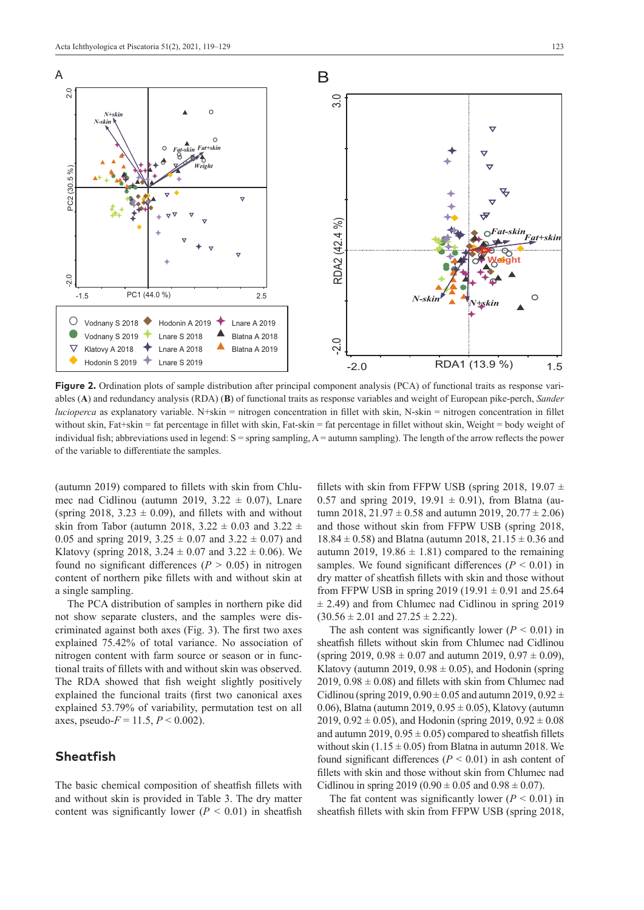

**Figure 2.** Ordination plots of sample distribution after principal component analysis (PCA) of functional traits as response variables (**A**) and redundancy analysis (RDA) (**B**) of functional traits as response variables and weight of European pike-perch, *Sander lucioperca* as explanatory variable. N+skin = nitrogen concentration in fillet with skin, N-skin = nitrogen concentration in fillet without skin, Fat+skin = fat percentage in fillet with skin, Fat-skin = fat percentage in fillet without skin, Weight = body weight of individual fish; abbreviations used in legend:  $S =$  spring sampling,  $A =$  autumn sampling). The length of the arrow reflects the power of the variable to differentiate the samples.

(autumn 2019) compared to fillets with skin from Chlumec nad Cidlinou (autumn 2019,  $3.22 \pm 0.07$ ), Lnare (spring 2018,  $3.23 \pm 0.09$ ), and fillets with and without skin from Tabor (autumn 2018, 3.22  $\pm$  0.03 and 3.22  $\pm$ 0.05 and spring 2019,  $3.25 \pm 0.07$  and  $3.22 \pm 0.07$ ) and Klatovy (spring 2018,  $3.24 \pm 0.07$  and  $3.22 \pm 0.06$ ). We found no significant differences ( $P > 0.05$ ) in nitrogen content of northern pike fillets with and without skin at a single sampling.

The PCA distribution of samples in northern pike did not show separate clusters, and the samples were discriminated against both axes (Fig. 3). The first two axes explained 75.42% of total variance. No association of nitrogen content with farm source or season or in functional traits of fillets with and without skin was observed. The RDA showed that fish weight slightly positively explained the funcional traits (first two canonical axes explained 53.79% of variability, permutation test on all axes, pseudo- $F = 11.5, P \le 0.002$ ).

### **Sheatfish**

The basic chemical composition of sheatfish fillets with and without skin is provided in Table 3. The dry matter content was significantly lower ( $P < 0.01$ ) in sheatfish

fillets with skin from FFPW USB (spring 2018, 19.07  $\pm$ 0.57 and spring 2019, 19.91  $\pm$  0.91), from Blatna (autumn 2018,  $21.97 \pm 0.58$  and autumn 2019,  $20.77 \pm 2.06$ ) and those without skin from FFPW USB (spring 2018,  $18.84 \pm 0.58$ ) and Blatna (autumn 2018, 21.15  $\pm$  0.36 and autumn 2019, 19.86  $\pm$  1.81) compared to the remaining samples. We found significant differences  $(P < 0.01)$  in dry matter of sheatfish fillets with skin and those without from FFPW USB in spring 2019 (19.91  $\pm$  0.91 and 25.64  $\pm$  2.49) and from Chlumec nad Cidlinou in spring 2019  $(30.56 \pm 2.01 \text{ and } 27.25 \pm 2.22).$ 

The ash content was significantly lower  $(P < 0.01)$  in sheatfish fillets without skin from Chlumec nad Cidlinou (spring 2019,  $0.98 \pm 0.07$  and autumn 2019,  $0.97 \pm 0.09$ ), Klatovy (autumn 2019,  $0.98 \pm 0.05$ ), and Hodonin (spring 2019,  $0.98 \pm 0.08$ ) and fillets with skin from Chlumec nad Cidlinou (spring 2019,  $0.90 \pm 0.05$  and autumn 2019,  $0.92 \pm$ 0.06), Blatna (autumn 2019,  $0.95 \pm 0.05$ ), Klatovy (autumn  $2019, 0.92 \pm 0.05$ ), and Hodonin (spring  $2019, 0.92 \pm 0.08$ and autumn 2019,  $0.95 \pm 0.05$ ) compared to sheatfish fillets without skin  $(1.15 \pm 0.05)$  from Blatna in autumn 2018. We found significant differences  $(P < 0.01)$  in ash content of fillets with skin and those without skin from Chlumec nad Cidlinou in spring  $2019 (0.90 \pm 0.05$  and  $0.98 \pm 0.07)$ .

The fat content was significantly lower ( $P < 0.01$ ) in sheatfish fillets with skin from FFPW USB (spring 2018,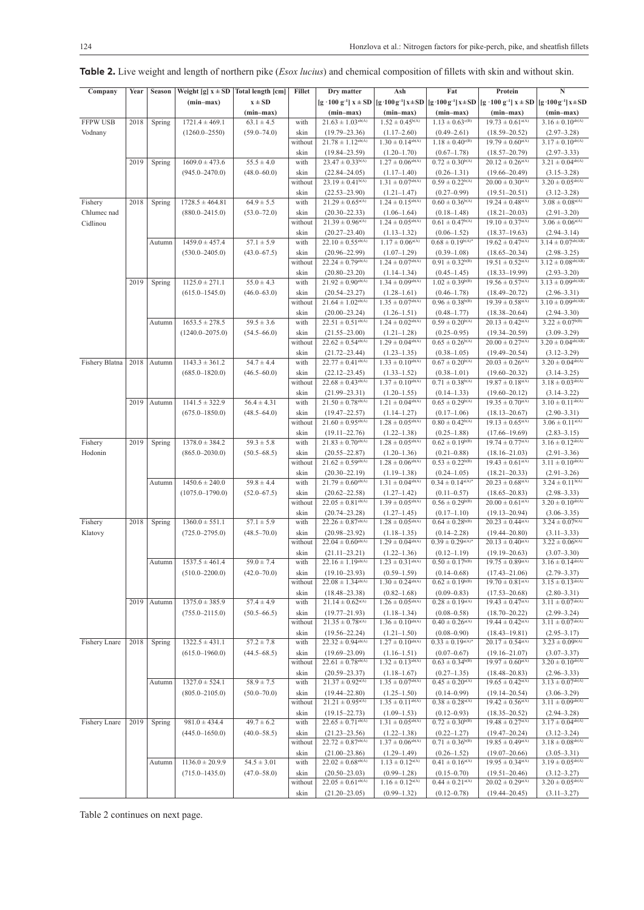|                 | Year | <b>Season</b> | Weight [g] $x \pm SD$   Total length [cm] |                 | Fillet  | Dry matter                                           | Ash                                        | Fat                                                             | Protein                                                         | N                                                 |
|-----------------|------|---------------|-------------------------------------------|-----------------|---------|------------------------------------------------------|--------------------------------------------|-----------------------------------------------------------------|-----------------------------------------------------------------|---------------------------------------------------|
| Company         |      |               |                                           |                 |         |                                                      |                                            |                                                                 |                                                                 |                                                   |
|                 |      |               | $(min-max)$                               | $x \pm SD$      |         | $[g \cdot 100 g^{-1}] x \pm SD$                      |                                            | $[g \cdot 100 g^{-1}] x \pm SD   [g \cdot 100 g^{-1}] x \pm SD$ | $[g \cdot 100 g^{-1}] x \pm SD   [g \cdot 100 g^{-1}] x \pm SD$ |                                                   |
|                 |      |               |                                           | $(min-max)$     |         | $(min-max)$                                          | $(min-max)$                                | $(min-max)$                                                     | $(min-max)$                                                     | $(min-max)$                                       |
| <b>FFPW USB</b> | 2018 | Spring        | $1721.4 \pm 469.1$                        | $63.1 \pm 4.5$  | with    | $21.63 \pm 1.03^{ab(A)}$                             | $1.52 \pm 0.45^{b(A)}$                     | $1.13 \pm 0.63^{\circ(B)}$                                      | $19.73 \pm 0.61$ <sup>a(A)</sup>                                | $3.16 \pm 0.10^{ab(A)}$                           |
| Vodnany         |      |               | $(1260.0 - 2550)$                         | $(59.0 - 74.0)$ | skin    | $(19.79 - 23.36)$                                    | $(1.17 - 2.60)$                            | $(0.49 - 2.61)$                                                 | $(18.59 - 20.52)$                                               | $(2.97 - 3.28)$                                   |
|                 |      |               |                                           |                 | without | $21.78 \pm 1.12^{ab(A)}$                             | $1.30 \pm 0.14^{ab(A)}$                    | $1.18 \pm 0.40^{\circ(B)}$                                      | $19.79 \pm 0.60^{\text{a(A)}}$                                  | $3.17 \pm 0.10^{ab(A)}$                           |
|                 |      |               |                                           |                 | skin    | $(19.84 - 23.59)$                                    | $(1.20 - 1.70)$                            | $(0.67-1.78)$                                                   | $(18.57 - 20.79)$                                               | $(2.97-3.33)$                                     |
|                 | 2019 | Spring        | $1609.0 \pm 473.6$                        | $55.5 \pm 4.0$  | with    | $23.47 \pm 0.33^{b(A)}$                              | $1.27 \pm 0.06^{ab(A)}$                    | $0.72 \pm 0.30^{b(A)}$                                          | $20.12 \pm 0.26$ <sup>a(A)</sup>                                | $3.21 \pm 0.04^{ab(A)}$                           |
|                 |      |               | $(945.0 - 2470.0)$                        | $(48.0 - 60.0)$ | skin    | $(22.84 - 24.05)$                                    | $(1.17-1.40)$                              | $(0.26 - 1.31)$                                                 | $(19.66 - 20.49)$                                               | $(3.15 - 3.28)$                                   |
|                 |      |               |                                           |                 | without | $23.19 \pm 0.41^{b(A)}$                              | $1.31 \pm 0.07^{ab(A)}$                    | $0.59 \pm 0.22^{b(A)}$                                          | $20.00 \pm 0.30^{\text{a(A)}}$                                  | $3.20 \pm 0.05^{\text{ab(A)}}$                    |
|                 |      |               |                                           |                 | skin    | $(22.53 - 23.90)$                                    | $(1.21 - 1.47)$                            | $(0.27 - 0.99)$                                                 | $(19.51 - 20.51)$                                               | $(3.12 - 3.28)$                                   |
| Fishery         | 2018 | Spring        | $1728.5 \pm 464.81$                       | $64.9 \pm 5.5$  | with    | $21.29 \pm 0.65^{\text{a(A)}}$                       | $1.24 \pm 0.15^{ab(A)}$                    | $0.60 \pm 0.36^{b(A)}$                                          | $19.24 \pm 0.48^{\text{a(A)}}$                                  | $3.08 \pm 0.08^{\text{a(A)}}$                     |
| Chlumec nad     |      |               | $(880.0 - 2415.0)$                        | $(53.0 - 72.0)$ | skin    | $(20.30 - 22.33)$                                    | $(1.06 - 1.64)$                            | $(0.18 - 1.48)$                                                 | $(18.21 - 20.03)$                                               | $(2.91 - 3.20)$                                   |
| Cidlinou        |      |               |                                           |                 | without | $21.39 \pm 0.96^{\text{a(A)}}$                       | $1.24 \pm 0.05^{ab(A)}$                    | $0.61 \pm 0.47^{b(A)}$                                          | $19.10 \pm 0.37$ <sup>a(A)</sup>                                | $3.06 \pm 0.06^{a(A)}$                            |
|                 |      |               |                                           |                 | skin    | $(20.27 - 23.40)$                                    | $(1.13 - 1.32)$                            | $(0.06-1.52)$                                                   | $(18.37 - 19.63)$                                               | $(2.94 - 3.14)$                                   |
|                 |      | Autumn        | $1459.0 \pm 457.4$                        | $57.1 \pm 5.9$  | with    | $22.10 \pm 0.55^{\text{ab(A)}}$                      | $1.17 \pm 0.06^{a(A)}$                     | $0.68 \pm 0.19^{\rm b(A)*}$                                     | $19.62 \pm 0.47^{\text{a(A)}}$                                  | $3.14 \pm 0.07^{ab(AB)}$                          |
|                 |      |               | $(530.0 - 2405.0)$                        | $(43.0 - 67.5)$ | skin    | $(20.96 - 22.99)$                                    | $(1.07-1.29)$                              | $(0.39 - 1.08)$                                                 | $(18.65 - 20.34)$                                               | $(2.98 - 3.25)$                                   |
|                 |      |               |                                           |                 | without | $22.24 \pm 0.79^{ab(A)}$                             | $1.24 \pm 0.07^{ab(A)}$                    | $0.91 \pm 0.32^{b(B)}$                                          | $19.51 \pm 0.52^{a(A)}$                                         | $3.12 \pm 0.08^{ab(AB)}$                          |
|                 |      |               |                                           |                 | skin    | $(20.80 - 23.20)$                                    | $(1.14 - 1.34)$                            | $(0.45 - 1.45)$                                                 | $(18.33 - 19.99)$                                               | $(2.93 - 3.20)$                                   |
|                 | 2019 | Spring        | $1125.0 \pm 271.1$                        | $55.0 \pm 4.3$  | with    | $21.92 \pm 0.90^{\rm ab(A)}$                         | $1.34 \pm 0.09^{ab(A)}$                    | $1.02 \pm 0.39^{b(B)}$                                          | $19.56 \pm 0.57^{\text{a(A)}}$                                  | $3.13 \pm 0.09^{\text{ab(AB)}}$                   |
|                 |      |               | $(615.0 - 1545.0)$                        | $(46.0 - 63.0)$ | skin    | $(20.54 - 23.27)$                                    | $(1.28 - 1.61)$                            | $(0.46 - 1.78)$                                                 | $(18.49 - 20.72)$                                               | $(2.96 - 3.31)$                                   |
|                 |      |               |                                           |                 | without | $21.64 \pm 1.02^{ab(A)}$                             | $1.35 \pm 0.07^{ab(A)}$                    | $0.96 \pm 0.38^{b(B)}$                                          | $19.39 \pm 0.58^{\text{a(A)}}$                                  | $3.10 \pm 0.09^{ab(AB)}$                          |
|                 |      |               |                                           |                 | skin    | $(20.00 - 23.24)$                                    | $(1.26 - 1.51)$                            | $(0.48 - 1.77)$                                                 | $(18.38 - 20.64)$                                               | $(2.94 - 3.30)$                                   |
|                 |      | Autumn        | $1653.5 \pm 278.5$                        | $59.5 \pm 3.6$  | with    | $22.51 \pm 0.51^{\rm ab(A)}$                         | $1.24 \pm 0.02^{ab(A)}$                    | $0.59 \pm 0.20^{b(A)}$                                          | $20.13 \pm 0.42$ <sup>a(A)</sup>                                | $3.22 \pm 0.07^{b(B)}$                            |
|                 |      |               | $(1240.0 - 2075.0)$                       | $(54.5 - 66.0)$ | skin    | $(21.55 - 23.00)$                                    | $(1.21 - 1.28)$                            | $(0.25 - 0.95)$                                                 | $(19.34 - 20.59)$                                               | $(3.09 - 3.29)$                                   |
|                 |      |               |                                           |                 | without | $22.62 \pm 0.54^{\rm ab(A)}$                         | $1.29 \pm 0.04^{ab(A)}$                    | $0.65 \pm 0.26^{b(A)}$                                          | $20.00 \pm 0.27$ <sup>a(A)</sup>                                | $3.20 \pm 0.04^{\text{ab(AB)}}$                   |
|                 |      |               |                                           |                 |         |                                                      |                                            |                                                                 |                                                                 |                                                   |
|                 |      |               | $1143.3 \pm 361.2$                        | $54.7 \pm 4.4$  | skin    | $(21.72 - 23.44)$<br>$22.77 \pm 0.41^{\text{ab(A)}}$ | $(1.23 - 1.35)$<br>$1.33 \pm 0.10^{ab(A)}$ | $(0.38 - 1.05)$<br>$0.67 \pm 0.20^{b(A)}$                       | $(19.49 - 20.54)$<br>$20.03 \pm 0.26$ <sup>a(A)</sup>           | $(3.12 - 3.29)$<br>$3.20 \pm 0.04^{\text{ab(A)}}$ |
| Fishery Blatna  | 2018 | Autumn        |                                           |                 | with    |                                                      |                                            |                                                                 |                                                                 |                                                   |
|                 |      |               | $(685.0 - 1820.0)$                        | $(46.5 - 60.0)$ | skin    | $(22.12 - 23.45)$                                    | $(1.33 - 1.52)$                            | $(0.38 - 1.01)$                                                 | $(19.60 - 20.32)$                                               | $(3.14 - 3.25)$                                   |
|                 |      |               |                                           |                 | without | $22.68 \pm 0.43^{\text{ab(A)}}$                      | $1.37 \pm 0.10^{ab(A)}$                    | $0.71 \pm 0.38^{b(A)}$                                          | $19.87 \pm 0.18^{a(A)}$                                         | $3.18 \pm 0.03^{ab(A)}$                           |
|                 |      |               |                                           |                 | skin    | $(21.99 - 23.31)$                                    | $(1.20 - 1.55)$                            | $(0.14 - 1.33)$                                                 | $(19.60 - 20.12)$                                               | $(3.14 - 3.22)$                                   |
|                 | 2019 | Autumn        | $1141.5 \pm 322.9$                        | $56.4 \pm 4.31$ | with    | $21.50 \pm 0.78^{\text{ab(A)}}$                      | $1.21 \pm 0.04^{\text{ab(A)}}$             | $0.65 \pm 0.29^{\rm b(A)}$                                      | $19.35 \pm 0.70^{\text{a(A)}}$                                  | $3.10 \pm 0.11^{ab(A)}$                           |
|                 |      |               | $(675.0 - 1850.0)$                        | $(48.5 - 64.0)$ | skin    | $(19.47 - 22.57)$                                    | $(1.14 - 1.27)$                            | $(0.17-1.06)$                                                   | $(18.13 - 20.67)$                                               | $(2.90 - 3.31)$                                   |
|                 |      |               |                                           |                 | without | $21.60 \pm 0.95^{ab(A)}$                             | $1.28 \pm 0.05^{ab(A)}$                    | $0.80 \pm 0.42^{b(A)}$                                          | $19.13 \pm 0.65^{a(A)}$                                         | $3.06 \pm 0.11^{\text{a(A)}}$                     |
|                 |      |               |                                           |                 | skin    | $(19.11 - 22.76)$                                    | $(1.22 - 1.38)$                            | $(0.25 - 1.88)$                                                 | $(17.66 - 19.69)$                                               | $(2.83 - 3.15)$                                   |
| Fishery         | 2019 | Spring        | $1378.0 \pm 384.2$                        | $59.3 \pm 5.8$  | with    | $21.83 \pm 0.70^{\rm ab(A)}$                         | $1.28 \pm 0.05^{\text{ab(A)}}$             | $0.62 \pm 0.19^{b(B)}$                                          | $19.74 \pm 0.77$ <sup>a(A)</sup>                                | $3.16 \pm 0.12^{ab(A)}$                           |
| Hodonin         |      |               | $(865.0 - 2030.0)$                        | $(50.5 - 68.5)$ | skin    | $(20.55 - 22.87)$                                    | $(1.20 - 1.36)$                            | $(0.21 - 0.88)$                                                 | $(18.16 - 21.03)$                                               | $(2.91 - 3.36)$                                   |
|                 |      |               |                                           |                 | without | $21.62 \pm 0.59^{\rm ab(A)}$                         | $1.28 \pm 0.06^{ab(A)}$                    | $0.53 \pm 0.22^{b(B)}$                                          | $19.43 \pm 0.61$ <sup>a(A)</sup>                                | $3.11 \pm 0.10^{ab(A)}$                           |
|                 |      |               |                                           |                 | skin    | $(20.30 - 22.19)$                                    | $(1.19 - 1.38)$                            | $(0.24 - 1.05)$                                                 | $(18.21 - 20.33)$                                               | $(2.91 - 3.26)$                                   |
|                 |      | Autumn        | $1450.6 \pm 240.0$                        | $59.8 \pm 4.4$  | with    | $21.79 \pm 0.60^{ab(A)}$                             | $1.31 \pm 0.04^{ab(A)}$                    | $0.34 \pm 0.14^{\text{a(A)}*}$                                  | $20.23 \pm 0.68^{\text{a(A)}}$                                  | $3.24 \pm 0.11^{b(A)}$                            |
|                 |      |               | $(1075.0 - 1790.0)$                       | $(52.0 - 67.5)$ | skin    | $(20.62 - 22.58)$                                    | $(1.27-1.42)$                              | $(0.11 - 0.57)$                                                 | $(18.65 - 20.83)$                                               | $(2.98 - 3.33)$                                   |
|                 |      |               |                                           |                 | without | $22.05 \pm 0.81^{ab(A)}$                             | $1.39 \pm 0.05^{ab(A)}$                    | $0.56 \pm 0.29^{b(B)}$                                          | $20.00 \pm 0.61$ <sup>a(A)</sup>                                | $3.20 \pm 0.10^{ab(A)}$                           |
|                 |      |               |                                           |                 | skin    | $(20.74 - 23.28)$                                    | $(1.27-1.45)$                              | $(0.17 - 1.10)$                                                 | $(19.13 - 20.94)$                                               | $(3.06 - 3.35)$                                   |
| Fishery         | 2018 | Spring        | $1360.0 \pm 551.1$                        | $57.1 \pm 5.9$  | with    | $22.26 \pm 0.87^{ab(A)}$                             | $1.28 \pm 0.05^{ab(A)}$                    | $0.64 \pm 0.28^{b(B)}$                                          | $20.23 \pm 0.44^{\text{a(A)}}$                                  | $3.24 \pm 0.07^{b(A)}$                            |
| Klatovy         |      |               | $(725.0 - 2795.0)$                        | $(48.5 - 70.0)$ | skin    | $(20.98 - 23.92)$                                    | $(1.18 - 1.35)$                            | $(0.14 - 2.28)$                                                 | $(19.44 - 20.80)$                                               | $(3.11 - 3.33)$                                   |
|                 |      |               |                                           |                 | without | $22.04 \pm 0.60^{\rm ab(A)}$                         | $1.29 \pm 0.04^{ab(A)}$                    | $0.39 \pm 0.29^{\rm a(A)*}$                                     | $20.13 \pm 0.40^{\text{a(A)}}$                                  | $3.22 \pm 0.06^{b(A)}$                            |
|                 |      |               |                                           |                 | skin    | $(21.11 - 23.21)$                                    | $(1.22 - 1.36)$                            | $(0.12 - 1.19)$                                                 | $(19.19 - 20.63)$                                               | $(3.07 - 3.30)$                                   |
|                 |      | Autumn        | $1537.5 \pm 461.4$                        | $59.0 \pm 7.4$  | with    | $22.16 \pm 1.19^{ab(A)}$                             | $1.23 \pm 0.31^{ab(A)}$                    | $0.50 \pm 0.17^{b(B)}$                                          | $19.75 \pm 0.89^{\text{a(A)}}$                                  | $3.16 \pm 0.14^{ab(A)}$                           |
|                 |      |               | $(510.0 - 2200.0)$                        | $(42.0 - 70.0)$ | skin    | $(19.10 - 23.93)$                                    | $(0.59 - 1.59)$                            | $(0.14 - 0.68)$                                                 | $(17.43 - 21.06)$                                               | $(2.79 - 3.37)$                                   |
|                 |      |               |                                           |                 | without | $22.08 \pm 1.34^{ab(A)}$                             | $1.30 \pm 0.24^{\rm ab(A)}$                | $0.62 \pm 0.19^{b(B)}$                                          | $19.70 \pm 0.81$ <sup>a(A)</sup>                                | $3.15 \pm 0.13^{ab(A)}$                           |
|                 |      |               |                                           |                 | skin    | $(18.48 - 23.38)$                                    | $(0.82 - 1.68)$                            | $(0.09 - 0.83)$                                                 | $(17.53 - 20.68)$                                               | $(2.80 - 3.31)$                                   |
|                 |      | 2019 Autumn   | $1375.0 \pm 385.9$                        | $57.4 \pm 4.9$  | with    | $21.14 \pm 0.62^{\rm a(A)}$                          | $1.26 \pm 0.05^{\text{ab(A)}}$             | $0.28 \pm 0.19^{\rm a(A)}$                                      | $19.43 \pm 0.47^{\text{a(A)}}$                                  | $3.11 \pm 0.07^{ab(A)}$                           |
|                 |      |               | $(755.0 - 2115.0)$                        | $(50.5 - 66.5)$ | skin    | $(19.77 - 21.93)$                                    | $(1.18 - 1.34)$                            | $(0.08 - 0.58)$                                                 | $(18.70 - 20.22)$                                               | $(2.99 - 3.24)$                                   |
|                 |      |               |                                           |                 | without | $21.35 \pm 0.78^{\rm a(A)}$                          | $1.36 \pm 0.10^{ab(A)}$                    | $0.40 \pm 0.26^{\text{a(A)}}$                                   | $19.44 \pm 0.42^{\rm a(A)}$                                     | $3.11 \pm 0.07^{ab(A)}$                           |
|                 |      |               |                                           |                 | skin    | $(19.56 - 22.24)$                                    | $(1.21 - 1.50)$                            | $(0.08 - 0.90)$                                                 | $(18.43 - 19.81)$                                               | $(2.95 - 3.17)$                                   |
| Fishery Lnare   | 2018 | Spring        | $1322.5 \pm 431.1$                        | $57.2 \pm 7.8$  | with    | $22.32 \pm 0.94^{\text{ab(A)}}$                      | $1.27 \pm 0.10^{\text{ab(A)}}$             | $0.33 \pm 0.19^{\text{a(A)}*}$                                  | $20.17 \pm 0.54^{\rm a(A)}$                                     | $3.23 \pm 0.09^{b(A)}$                            |
|                 |      |               |                                           |                 |         |                                                      |                                            |                                                                 |                                                                 |                                                   |
|                 |      |               | $(615.0 - 1960.0)$                        | $(44.5 - 68.5)$ | skin    | $(19.69 - 23.09)$<br>$22.61 \pm 0.78^{\text{ab(A)}}$ | $(1.16-1.51)$<br>$1.32 \pm 0.13^{ab(A)}$   | $(0.07 - 0.67)$<br>$0.63 \pm 0.34^{b(B)}$                       | $(19.16 - 21.07)$<br>$19.97 \pm 0.60^{\text{a(A)}}$             | $(3.07 - 3.37)$<br>$3.20 \pm 0.10^{\text{ab(A)}}$ |
|                 |      |               |                                           |                 | without |                                                      |                                            |                                                                 |                                                                 |                                                   |
|                 |      |               |                                           |                 | skin    | $(20.59 - 23.37)$                                    | $(1.18 - 1.67)$                            | $(0.27-1.35)$                                                   | $(18.48 - 20.83)$                                               | $(2.96 - 3.33)$<br>$3.13 \pm 0.07^{ab(A)}$        |
|                 |      | Autumn        | $1327.0 \pm 524.1$                        | $58.9 \pm 7.5$  | with    | $21.37 \pm 0.92^{\rm a(A)}$                          | $1.35 \pm 0.07^{\text{ab(A)}}$             | $0.45 \pm 0.20^{\rm a(A)}$                                      | $19.65 \pm 0.42^{\text{a(A)}}$                                  |                                                   |
|                 |      |               | $(805.0 - 2105.0)$                        | $(50.0 - 70.0)$ | skin    | $(19.44 - 22.80)$                                    | $(1.25-1.50)$                              | $(0.14 - 0.99)$                                                 | $(19.14 - 20.54)$                                               | $(3.06 - 3.29)$                                   |
|                 |      |               |                                           |                 | without | $21.21 \pm 0.95^{\rm a(A)}$                          | $1.35 \pm 0.11^{ab(A)}$                    | $0.38 \pm 0.28^{\rm a(A)}$                                      | $19.42 \pm 0.56^{\text{a(A)}}$                                  | $3.11 \pm 0.09^{ab(A)}$                           |
|                 |      |               |                                           |                 | skin    | $(19.15 - 22.73)$                                    | $(1.09-1.53)$                              | $(0.12 - 0.93)$                                                 | $(18.35 - 20.52)$                                               | $(2.94 - 3.28)$                                   |
| Fishery Lnare   | 2019 | Spring        | $981.0 \pm 434.4$                         | $49.7 \pm 6.2$  | with    | $22.65 \pm 0.71^{ab(A)}$                             | $1.31 \pm 0.05^{\text{ab(A)}}$             | $0.72 \pm 0.30^{b(B)}$                                          | $19.48 \pm 0.27^{\rm a(A)}$                                     | $3.17 \pm 0.04^{ab(A)}$                           |
|                 |      |               | $(445.0 - 1650.0)$                        | $(40.0 - 58.5)$ | skin    | $(21.23 - 23.56)$                                    | $(1.22 - 1.38)$                            | $(0.22 - 1.27)$                                                 | $(19.47 - 20.24)$                                               | $(3.12 - 3.24)$                                   |
|                 |      |               |                                           |                 | without | $22.72 \pm 0.87^{\rm ab(A)}$                         | $1.37 \pm 0.06^{\text{ab(A)}}$             | $0.71 \pm 0.36^{b(B)}$                                          | $19.85 \pm 0.49^{\rm a(A)}$                                     | $3.18\pm0.08^{\text{ab(A)}}$                      |
|                 |      |               |                                           |                 | skin    | $(21.00 - 23.86)$                                    | $(1.29-1.49)$                              | $(0.26 - 1.52)$                                                 | $(19.07 - 20.66)$                                               | $(3.05 - 3.31)$                                   |
|                 |      | Autumn        | $1136.0 \pm 20.9.9$                       | $54.5 \pm 3.01$ | with    | $22.02 \pm 0.68^{\text{ab(A)}}$                      | $1.13 \pm 0.12^{\text{a(A)}}$              | $0.41 \pm 0.16^{a(A)}$                                          | $19.95 \pm 0.34^{\text{a(A)}}$                                  | $3.19 \pm 0.05^{\text{ab(A)}}$                    |
|                 |      |               | $(715.0 - 1435.0)$                        | $(47.0 - 58.0)$ | skin    | $(20.50 - 23.03)$                                    | $(0.99 - 1.28)$                            | $(0.15 - 0.70)$                                                 | $(19.51 - 20.46)$                                               | $(3.12 - 3.27)$                                   |
|                 |      |               |                                           |                 | without | $22.05 \pm 0.61^{ab(A)}$                             | $1.16 \pm 0.12^{\text{a(A)}}$              | $0.44 \pm 0.21$ <sup>a(A)</sup>                                 | $20.02 \pm 0.29^{\rm a(A)}$                                     | $3.20 \pm 0.05^{\text{ab(A)}}$                    |
|                 |      |               |                                           |                 | skin    | $(21.20 - 23.05)$                                    | $(0.99-1.32)$                              | $(0.12 - 0.78)$                                                 | $(19.44 - 20.45)$                                               | $(3.11 - 3.27)$                                   |

**Table 2.** Live weight and length of northern pike (*Esox lucius*) and chemical composition of fillets with skin and without skin.

Table 2 continues on next page.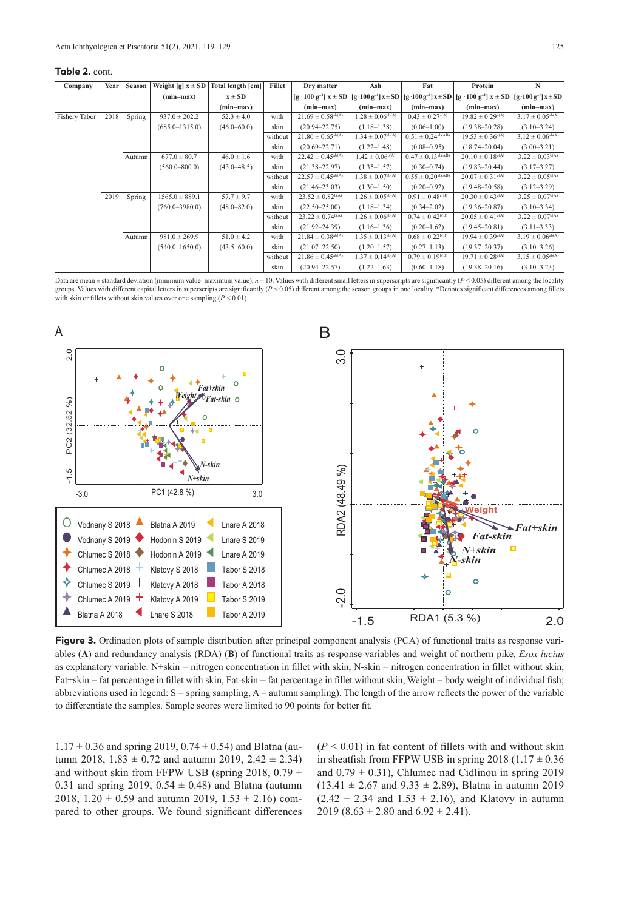#### **Table 2.** cont.

| Company       | Year | Season | Weight $[g]$ $x \pm SD$ | Total length [cm] | Fillet  | Dry matter                        | Ash                     | Fat                             | Protein                                                                                                                                                                                                 | N                          |
|---------------|------|--------|-------------------------|-------------------|---------|-----------------------------------|-------------------------|---------------------------------|---------------------------------------------------------------------------------------------------------------------------------------------------------------------------------------------------------|----------------------------|
|               |      |        | $(min-max)$             | $x \pm SD$        |         |                                   |                         |                                 | $[g \cdot 100 \text{ g}^{-1}] x \pm SD$ $[g \cdot 100 \text{ g}^{-1}] x \pm SD$ $[g \cdot 100 \text{ g}^{-1}] x \pm SD$ $[g \cdot 100 \text{ g}^{-1}] x \pm SD$ $[g \cdot 100 \text{ g}^{-1}] x \pm SD$ |                            |
|               |      |        |                         | (min-max)         |         | $(min-max)$                       | (min-max)               | $(min-max)$                     | $(min-max)$                                                                                                                                                                                             | $(min-max)$                |
| Fishery Tabor | 2018 | Spring | $937.0 \pm 202.2$       | $52.3 \pm 4.0$    | with    | $21.69 \pm 0.58^{\text{ab(A)}}$   | $1.28 \pm 0.06^{ab(A)}$ | $0.43 \pm 0.27^{a(A)}$          | $19.82 \pm 0.29^{\text{a(A)}}$                                                                                                                                                                          | $3.17 \pm 0.05^{ab(A)}$    |
|               |      |        | $(685.0 - 1315.0)$      | $(46.0 - 60.0)$   | skin    | $(20.94 - 22.75)$                 | $(1.18 - 1.38)$         | $(0.06 - 1.00)$                 | $(19.38 - 20.28)$                                                                                                                                                                                       | $(3.10 - 3.24)$            |
|               |      |        |                         |                   | without | $21.80 \pm 0.65^{\text{ab(A)}}$   | $1.34 \pm 0.07^{ab(A)}$ | $0.51 \pm 0.24^{\text{ab(AB)}}$ | $19.53 \pm 0.36^{\text{a(A)}}$                                                                                                                                                                          | $3.12 \pm 0.06^{ab(A)}$    |
|               |      |        |                         |                   | skin    | $(20.69 - 22.71)$                 | $(1.22 - 1.48)$         | $(0.08 - 0.95)$                 | $(18.74 - 20.04)$                                                                                                                                                                                       | $(3.00 - 3.21)$            |
|               |      | Autumn | $677.0 \pm 80.7$        | $46.0 \pm 1.6$    | with    | $22.42 \pm 0.45^{\text{ab(A)}}$   | $1.42 \pm 0.06^{b(A)}$  | $0.47 \pm 0.13^{ab(AB)}$        | $20.10 \pm 0.18^{\text{a(A)}}$                                                                                                                                                                          | $3.22 \pm 0.03^{b(A)}$     |
|               |      |        | $(560.0 - 800.0)$       | $(43.0 - 48.5)$   | skin    | $(21.38 - 22.97)$                 | $(1.35 - 1.57)$         | $(0.30 - 0.74)$                 | $(19.83 - 20.44)$                                                                                                                                                                                       | $(3.17 - 3.27)$            |
|               |      |        |                         |                   | without | $22.57 \pm 0.45^{\text{ab(A)}}$   | $1.38 \pm 0.07^{ab(A)}$ | $0.55 \pm 0.20^{\text{ab(AB)}}$ | $20.07 \pm 0.31^{\text{a(A)}}$                                                                                                                                                                          | $3.22 \pm 0.05^{b(A)}$     |
|               |      |        |                         |                   | skin    | $(21.46 - 23.03)$                 | $(1.30 - 1.50)$         | $(0.20 - 0.92)$                 | $(19.48 - 20.58)$                                                                                                                                                                                       | $(3.12 - 3.29)$            |
|               | 2019 | Spring | $1565.0 \pm 889.1$      | $57.7 \pm 9.7$    | with    | $23.52 \pm 0.82^{b(A)}$           | $1.26 \pm 0.05^{ab(A)}$ | $0.91 \pm 0.48^{\text{c(B)}}$   | $20.30 \pm 0.43$ <sup>a(A)</sup>                                                                                                                                                                        | $3.25 \pm 0.07^{\rm b(A)}$ |
|               |      |        | $(760.0 - 3980.0)$      | $(48.0 - 82.0)$   | skin    | $(22.50 - 25.00)$                 | $(1.18 - 1.34)$         | $(0.34 - 2.02)$                 | $(19.36 - 20.87)$                                                                                                                                                                                       | $(3.10 - 3.34)$            |
|               |      |        |                         |                   | without | $23.22 \pm 0.74^{b(A)}$           | $1.26 \pm 0.06^{ab(A)}$ | $0.74 \pm 0.42^{\text{b(B)}}$   | $20.05 \pm 0.41$ <sup>a(A)</sup>                                                                                                                                                                        | $3.22 \pm 0.07^{b(A)}$     |
|               |      |        |                         |                   | skin    | $(21.92 - 24.39)$                 | $(1.16 - 1.36)$         | $(0.20 - 1.62)$                 | $(19.45 - 20.81)$                                                                                                                                                                                       | $(3.11 - 3.33)$            |
|               |      | Autumn | $981.0 \pm 269.9$       | $51.0 \pm 4.2$    | with    | $21.84 \pm 0.38^{ab(A)}$          | $1.35 \pm 0.13^{ab(A)}$ | $0.68 \pm 0.22^{b(B)}$          | $19.94 \pm 0.39^{\text{a(A)}}$                                                                                                                                                                          | $3.19 \pm 0.06^{ab(A)}$    |
|               |      |        | $(540.0 - 1650.0)$      | $(43.5 - 60.0)$   | skin    | $(21.07 - 22.50)$                 | $(1.20 - 1.57)$         | $(0.27-1.13)$                   | $(19.37 - 20.37)$                                                                                                                                                                                       | $(3.10 - 3.26)$            |
|               |      |        |                         |                   | without | $21.86 \pm 0.45$ <sup>ab(A)</sup> | $1.37 \pm 0.14^{ab(A)}$ | $0.79 \pm 0.19^{\rm b(B)}$      | $19.71 \pm 0.28$ <sup>a(A)</sup>                                                                                                                                                                        | $3.15 \pm 0.05^{ab(A)}$    |
|               |      |        |                         |                   | skin    | $(20.94 - 22.57)$                 | $(1.22 - 1.63)$         | $(0.60 - 1.18)$                 | $(19.38 - 20.16)$                                                                                                                                                                                       | $(3.10 - 3.23)$            |

Data are mean  $\pm$  standard deviation (minimum value–maximum value),  $n = 10$ . Values with different small letters in superscripts are significantly (*P* < 0.05) different among the locality groups. Values with different capital letters in superscripts are significantly  $(P < 0.05)$  different among the season groups in one locality. \*Denotes significant differences among fillets with skin or fillets without skin values over one sampling  $(P < 0.01)$ .



**Figure 3.** Ordination plots of sample distribution after principal component analysis (PCA) of functional traits as response variables (**A**) and redundancy analysis (RDA) (**B**) of functional traits as response variables and weight of northern pike, *Esox lucius* as explanatory variable. N+skin = nitrogen concentration in fillet with skin, N-skin = nitrogen concentration in fillet without skin, Fat+skin = fat percentage in fillet with skin, Fat-skin = fat percentage in fillet without skin, Weight = body weight of individual fish; abbreviations used in legend:  $S =$ spring sampling,  $A =$ autumn sampling). The length of the arrow reflects the power of the variable to differentiate the samples. Sample scores were limited to 90 points for better fit.

 $1.17 \pm 0.36$  and spring 2019, 0.74  $\pm$  0.54) and Blatna (autumn 2018,  $1.83 \pm 0.72$  and autumn 2019,  $2.42 \pm 2.34$ ) and without skin from FFPW USB (spring 2018, 0.79  $\pm$ 0.31 and spring 2019,  $0.54 \pm 0.48$ ) and Blatna (autumn 2018,  $1.20 \pm 0.59$  and autumn 2019,  $1.53 \pm 2.16$ ) compared to other groups. We found significant differences  $(P < 0.01)$  in fat content of fillets with and without skin in sheatfish from FFPW USB in spring  $2018$  (1.17  $\pm$  0.36 and  $0.79 \pm 0.31$ ), Chlumec nad Cidlinou in spring 2019  $(13.41 \pm 2.67 \text{ and } 9.33 \pm 2.89)$ , Blatna in autumn 2019  $(2.42 \pm 2.34 \text{ and } 1.53 \pm 2.16)$ , and Klatovy in autumn 2019 (8.63  $\pm$  2.80 and 6.92  $\pm$  2.41).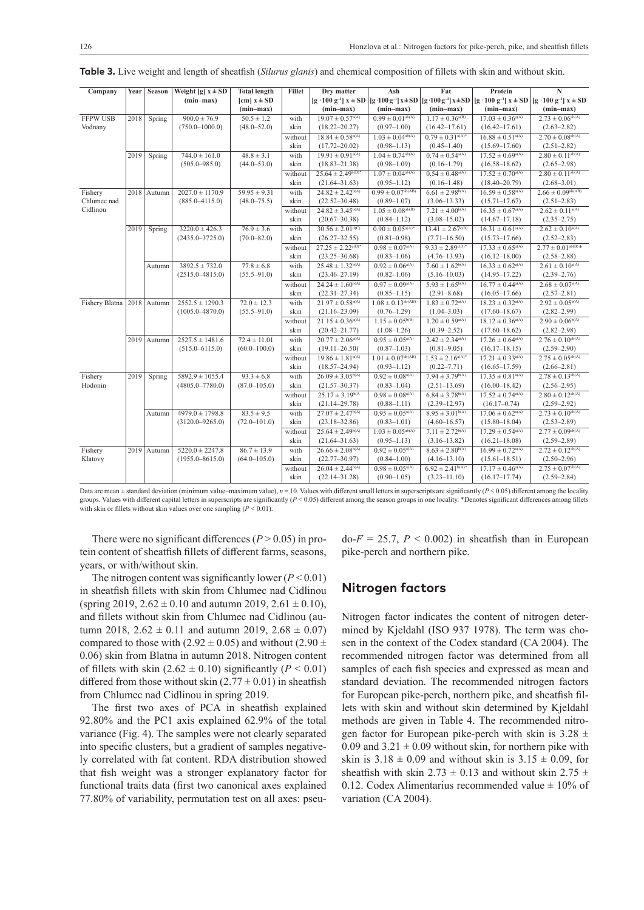| Company                    | Year | Season      | Weight [g] $x \pm SD$ | <b>Total length</b>           | <b>Fillet</b> | Dry matter                        | Ash                            | Fat                              | Protein                                                                                                                                                                                                           | $\overline{\bf N}$              |
|----------------------------|------|-------------|-----------------------|-------------------------------|---------------|-----------------------------------|--------------------------------|----------------------------------|-------------------------------------------------------------------------------------------------------------------------------------------------------------------------------------------------------------------|---------------------------------|
|                            |      |             | $(min-max)$           | $[\text{cm}] x \pm \text{SD}$ |               |                                   |                                |                                  | $[g \cdot 100 \text{ g}^{-1}]$ x $\pm$ SD $[g \cdot 100 \text{ g}^{-1}]$ x $\pm$ SD $[g \cdot 100 \text{ g}^{-1}]$ x $\pm$ SD $[g \cdot 100 \text{ g}^{-1}]$ x $\pm$ SD $[g \cdot 100 \text{ g}^{-1}]$ x $\pm$ SD |                                 |
|                            |      |             |                       | $(min-max)$                   |               | $(min-max)$                       | $(min-max)$                    | $(min-max)$                      | $(min-max)$                                                                                                                                                                                                       | $(min-max)$                     |
| <b>FFPW USB</b>            | 2018 | Spring      | $900.0 \pm 76.9$      | $50.5 \pm 1.2$                | with          | $19.07 \pm 0.57^{\text{a(A)}}$    | $0.99 \pm 0.01^{ab(A)}$        | $1.17 \pm 0.36^{a(B)}$           | $17.03 \pm 0.36^{\text{a(A)}}$                                                                                                                                                                                    | $2.73 \pm 0.06^{ab(A)}$         |
| Vodnany                    |      |             | $(750.0 - 1000.0)$    | $(48.0 - 52.0)$               | skin          | $(18.22 - 20.27)$                 | $(0.97-1.00)$                  | $(16.42 - 17.61)$                | $(16.42 - 17.61)$                                                                                                                                                                                                 | $(2.63 - 2.82)$                 |
|                            |      |             |                       |                               | without       | $18.84 \pm 0.58^{\text{a(A)}}$    | $1.03 \pm 0.04^{ab(A)}$        | $0.79 \pm 0.31$ <sup>a(A)*</sup> | $16.88 \pm 0.51$ <sup>a(A)</sup>                                                                                                                                                                                  | $2.70 \pm 0.08^{\text{ab(A)}}$  |
|                            |      |             |                       |                               | skin          | $(17.72 - 20.02)$                 | $(0.98 - 1.13)$                | $(0.45 - 1.40)$                  | $(15.69 - 17.60)$                                                                                                                                                                                                 | $(2.51 - 2.82)$                 |
|                            | 2019 | Spring      | $744.0 \pm 161.0$     | $48.8 \pm 3.1$                | with          | $19.91 \pm 0.91$ <sup>a(A)</sup>  | $1.04 \pm 0.74^{\text{ab(A)}}$ | $0.74 \pm 0.54^{\text{a(A)}}$    | $17.52 \pm 0.69^{\text{a(A)}}$                                                                                                                                                                                    | $2.80 \pm 0.11^{ab(A)}$         |
|                            |      |             | $(505.0 - 985.0)$     | $(44.0 - 53.0)$               | skin          | $(18.83 - 21.38)$                 | $(0.98 - 1.09)$                | $(0.16 - 1.79)$                  | $(16.58 - 18.62)$                                                                                                                                                                                                 | $(2.65 - 2.98)$                 |
|                            |      |             |                       |                               | without       | $25.64 \pm 2.49^{\mathrm{b(B)}*}$ | $1.07 \pm 0.04^{\text{ab(A)}}$ | $0.54 \pm 0.48^{\text{a(A)}}$    | $17.52 \pm 0.70^{\text{a(A)}}$                                                                                                                                                                                    | $2.80 \pm 0.11^{ab(A)}$         |
|                            |      |             |                       |                               | skin          | $(21.64 - 31.63)$                 | $(0.95 - 1.12)$                | $(0.16 - 1.48)$                  | $(18.40 - 20.79)$                                                                                                                                                                                                 | $(2.68 - 3.01)$                 |
| Fishery                    |      | 2018 Autumn | $2027.0 \pm 1170.9$   | $59.95 \pm 9.31$              | with          | $24.82 \pm 2.42^{b(A)}$           | $0.99 \pm 0.07^{\rm ab(AB)}$   | $6.61 \pm 2.98^{b(A)}$           | $16.59 \pm 0.58^{\text{a(A)}}$                                                                                                                                                                                    | $2.66 \pm 0.09^{ab(AB)}$        |
| Chlumec nad                |      |             | $(885.0 - 4115.0)$    | $(48.0 - 75.5)$               | skin          | $(22.52 - 30.48)$                 | $(0.89 - 1.07)$                | $(3.06 - 13.33)$                 | $(15.71 - 17.67)$                                                                                                                                                                                                 | $(2.51 - 2.83)$                 |
| Cidlinou                   |      |             |                       |                               | without       | $24.82 \pm 3.45^{b(A)}$           | $1.05 \pm 0.08^{ab(B)}$        | $7.21 \pm 4.00^{b(A)}$           | $16.35 \pm 0.67$ <sup>a(A)</sup>                                                                                                                                                                                  | $2.62 \pm 0.11$ <sup>a(A)</sup> |
|                            |      |             |                       |                               | skin          | $(20.67 - 30.38)$                 | $(0.84 - 1.12)$                | $(3.08 - 15.02)$                 | $(14.67 - 17.18)$                                                                                                                                                                                                 | $(2.35 - 2.75)$                 |
|                            | 2019 | Spring      | $3220.0 \pm 426.3$    | $76.9 \pm 3.6$                | with          | $30.56 \pm 2.01$ <sup>d(C)</sup>  | $0.90 \pm 0.05^{\text{a(A)}*}$ | $13.41 \pm 2.67^{\circ(B)}$      | $16.31 \pm 0.61$ <sup>a(A)</sup>                                                                                                                                                                                  | $2.62 \pm 0.10^{\text{a(A)}}$   |
|                            |      |             | $(2435.0 - 3725.0)$   | $(70.0 - 82.0)$               | skin          | $(26.27 - 32.55)$                 | $(0.81 - 0.98)$                | $(7.71 - 16.50)$                 | $(15.73 - 17.66)$                                                                                                                                                                                                 | $(2.52 - 2.83)$                 |
|                            |      |             |                       |                               | without       | $27.25 \pm 2.22^{\text{c(B)}*}$   | $0.98 \pm 0.07^{a(A)}$         | $9.33 \pm 2.89^{\text{c(B)}*}$   | $17.33 \pm 0.65$ <sup>a(A)</sup>                                                                                                                                                                                  | $2.77 \pm 0.01^{ab(B)*}$        |
|                            |      |             |                       |                               | skin          | $(23.25 - 30.68)$                 | $(0.83 - 1.06)$                | $(4.76 - 13.93)$                 | $(16.12 - 18.00)$                                                                                                                                                                                                 | $(2.58 - 2.88)$                 |
|                            |      | Autumn      | $3892.5 \pm 732.0$    | $77.8 \pm 6.8$                | with          | $25.48 \pm 1.32^{b(A)}$           | $0.92 \pm 0.06^{a(A)}$         | $7.60 \pm 1.62^{b(A)}$           | $16.33 \pm 0.62^{\text{a(A)}}$                                                                                                                                                                                    | $2.61 \pm 0.10^{\text{a(A)}}$   |
|                            |      |             | $(2515.0 - 4815.0)$   | $(55.5 - 91.0)$               | skin          | $(23.46 - 27.19)$                 | $(0.82 - 1.06)$                | $(5.16 - 10.03)$                 | $(14.95 - 17.22)$                                                                                                                                                                                                 | $(2.39 - 2.76)$                 |
|                            |      |             |                       |                               | without       | $24.24 \pm 1.60^{b(A)}$           | $0.97 \pm 0.09^{\text{a(A)}}$  | $5.93 \pm 1.65^{b(A)}$           | $16.77 \pm 0.44^{\text{a(A)}}$                                                                                                                                                                                    | $2.68 \pm 0.07^{\rm a(A)}$      |
|                            |      |             |                       |                               | skin          | $(22.31 - 27.34)$                 | $(0.85 - 1.15)$                | $(2.91 - 8.68)$                  | $(16.05 - 17.66)$                                                                                                                                                                                                 | $(2.57 - 2.81)$                 |
| Fishery Blatna 2018 Autumn |      |             | $2552.5 \pm 1290.3$   | $72.0 \pm 12.3$               | with          | $21.97 \pm 0.58^{\text{a(A)}}$    | $1.08 \pm 0.13^{ab(AB)}$       | $1.83 \pm 0.72$ <sup>a(A)</sup>  | $18.23 \pm 0.32$ <sup>a(A)</sup>                                                                                                                                                                                  | $2.92 \pm 0.05^{b(A)}$          |
|                            |      |             | $(1005.0 - 4870.0)$   | $(55.5 - 91.0)$               | skin          | $(21.16 - 23.09)$                 | $(0.76 - 1.29)$                | $(1.04 - 3.03)$                  | $(17.60 - 18.67)$                                                                                                                                                                                                 | $(2.82 - 2.99)$                 |
|                            |      |             |                       |                               | without       | $21.15 \pm 0.36^{\text{a(A)}}$    | $1.15 \pm 0.05^{b(B)}$         | $1.20 \pm 0.59^{\text{a(A)}}$    | $18.12 \pm 0.36^{\text{a(A)}}$                                                                                                                                                                                    | $2.90 \pm 0.06^{b(A)}$          |
|                            |      |             |                       |                               | skin          | $(20.42 - 21.77)$                 | $(1.08 - 1.26)$                | $(0.39 - 2.52)$                  | $(17.60 - 18.62)$                                                                                                                                                                                                 | $(2.82 - 2.98)$                 |
|                            |      | 2019 Autumn | $2527.5 \pm 1481.6$   | $72.4 \pm 11.01$              | with          | $20.77 \pm 2.06^{a(A)}$           | $0.95 \pm 0.05^{a(A)}$         | $2.42 \pm 2.34^{\text{a(A)}}$    | $17.26 \pm 0.64^{\text{a(A)}}$                                                                                                                                                                                    | $2.76 \pm 0.10^{ab(A)}$         |
|                            |      |             | $(515.0 - 6115.0)$    | $(60.0 - 100.0)$              | skin          | $(19.11 - 26.50)$                 | $(0.87 - 1.03)$                | $(0.81 - 9.05)$                  | $(16.17 - 18.15)$                                                                                                                                                                                                 | $(2.59 - 2.90)$                 |
|                            |      |             |                       |                               | without       | $19.86 \pm 1.81$ <sup>a(A)</sup>  | $1.01 \pm 0.07^{ab(AB)}$       | $1.53 \pm 2.16^{a(A)^*}$         | $17.21 \pm 0.33^{\text{a(A)}}$                                                                                                                                                                                    | $2.75 \pm 0.05^{ab(A)}$         |
|                            |      |             |                       |                               | skin          | $(18.57 - 24.94)$                 | $(0.93 - 1.12)$                | $(0.22 - 7.71)$                  | $(16.65 - 17.59)$                                                                                                                                                                                                 | $(2.66 - 2.81)$                 |
| Fishery                    | 2019 | Spring      | $5892.9 \pm 1055.4$   | $93.3 \pm 6.8$                | with          | $26.09 \pm 3.05^{b(A)}$           | $0.92 \pm 0.08^{\text{a(A)}}$  | $7.94 \pm 3.79^{b(A)}$           | $17.35 \pm 0.81^{\text{a(A)}}$                                                                                                                                                                                    | $2.78 \pm 0.13^{ab(A)}$         |
| Hodonin                    |      |             | $(4805.0 - 7780.0)$   | $(87.0 - 105.0)$              | skin          | $(21.57 - 30.37)$                 | $(0.83 - 1.04)$                | $(2.51-13.69)$                   | $(16.00 - 18.42)$                                                                                                                                                                                                 | $(2.56 - 2.95)$                 |
|                            |      |             |                       |                               | without       | $25.17 \pm 3.19^{b(A)}$           | $0.98 \pm 0.08^{\text{a(A)}}$  | $6.84 \pm 3.78^{b(A)}$           | $17.52 \pm 0.74^{\text{a(A)}}$                                                                                                                                                                                    | $2.80 \pm 0.12^{ab(A)}$         |
|                            |      |             |                       |                               | skin          | $(21.14 - 29.78)$                 | $(0.88 - 1.11)$                | $(2.39 - 12.97)$                 | $(16.17 - 0.74)$                                                                                                                                                                                                  | $(2.59 - 2.92)$                 |
|                            |      | Autumn      | $4979.0 \pm 1798.8$   | $83.5 \pm 9.5$                | with          | $27.07 \pm 2.47^{\text{b(A)}}$    | $0.95 \pm 0.05^{a(A)}$         | $8.95 \pm 3.01^{b(A)}$           | $17.06 \pm 0.62^{\text{a(A)}}$                                                                                                                                                                                    | $2.73 \pm 0.10^{ab(A)}$         |
|                            |      |             | $(3120.0 - 9265.0)$   | $(72.0 - 101.0)$              | skin          | $(23.18 - 32.86)$                 | $(0.83 - 1.01)$                | $(4.60 - 16.57)$                 | $(15.80 - 18.04)$                                                                                                                                                                                                 | $(2.53 - 2.89)$                 |
|                            |      |             |                       |                               | without       | $25.64 \pm 2.49^{b(A)}$           | $1.03 \pm 0.05^{ab(A)}$        | $7.11 \pm 2.72^{b(A)}$           | $17.29 \pm 0.54^{\text{a(A)}}$                                                                                                                                                                                    | $2.77 \pm 0.09^{ab(A)}$         |
|                            |      |             |                       |                               | skin          | $(21.64 - 31.63)$                 | $(0.95 - 1.13)$                | $(3.16 - 13.82)$                 | $(16.21 - 18.08)$                                                                                                                                                                                                 | $(2.59 - 2.89)$                 |
| Fishery                    |      | 2019 Autumn | $5220.0 \pm 2247.8$   | $86.7 \pm 13.9$               | with          | $26.66 \pm 2.08^{b(A)}$           | $0.92 \pm 0.05^{a(A)}$         | $8.63 \pm 2.80^{b(A)}$           | $16.99 \pm 0.72$ <sup>a(A)</sup>                                                                                                                                                                                  | $2.72 \pm 0.12^{ab(A)}$         |
| Klatovy                    |      |             | $(1955.0 - 8615.0)$   | $(64.0 - 105.0)$              | skin          | $(22.77 - 30.97)$                 | $(0.84 - 1.00)$                | $(4.16 - 13.10)$                 | $(15.61 - 18.51)$                                                                                                                                                                                                 | $(2.50-2.96)$                   |
|                            |      |             |                       |                               | without       | $26.04 \pm 2.44^{b(A)}$           | $0.98 \pm 0.05^{a(A)}$         | $6.92 \pm 2.41^{b(A)*}$          | $17.17 \pm 0.46^{\text{a(A)}}$                                                                                                                                                                                    | $2.75 \pm 0.07^{ab(A)}$         |
|                            |      |             |                       |                               | skin          | $(22.14 - 31.28)$                 | $(0.90 - 1.05)$                | $(3.23 - 11.10)$                 | $(16.17 - 17.74)$                                                                                                                                                                                                 | $(2.59 - 2.84)$                 |

**Table 3.** Live weight and length of sheatfish (*Silurus glanis*) and chemical composition of fillets with skin and without skin.

Data are mean ± standard deviation (minimum value–maximum value), *n* = 10. Values with different small letters in superscripts are significantly (*P* < 0.05) different among the locality groups. Values with different capital letters in superscripts are significantly (*P* < 0.05) different among the season groups in one locality. \*Denotes significant differences among fillets with skin or fillets without skin values over one sampling  $(P < 0.01)$ .

There were no significant differences  $(P > 0.05)$  in protein content of sheatfish fillets of different farms, seasons, years, or with/without skin.

The nitrogen content was significantly lower  $(P < 0.01)$ in sheatfish fillets with skin from Chlumec nad Cidlinou (spring 2019,  $2.62 \pm 0.10$  and autumn 2019,  $2.61 \pm 0.10$ ), and fillets without skin from Chlumec nad Cidlinou (autumn 2018,  $2.62 \pm 0.11$  and autumn 2019,  $2.68 \pm 0.07$ ) compared to those with (2.92  $\pm$  0.05) and without (2.90  $\pm$ 0.06) skin from Blatna in autumn 2018. Nitrogen content of fillets with skin  $(2.62 \pm 0.10)$  significantly  $(P < 0.01)$ differed from those without skin  $(2.77 \pm 0.01)$  in sheatfish from Chlumec nad Cidlinou in spring 2019.

The first two axes of PCA in sheatfish explained 92.80% and the PC1 axis explained 62.9% of the total variance (Fig. 4). The samples were not clearly separated into specific clusters, but a gradient of samples negatively correlated with fat content. RDA distribution showed that fish weight was a stronger explanatory factor for functional traits data (first two canonical axes explained 77.80% of variability, permutation test on all axes: pseu $dof = 25.7$ ,  $P < 0.002$ ) in sheatfish than in European pike-perch and northern pike.

#### **Nitrogen factors**

Nitrogen factor indicates the content of nitrogen determined by Kjeldahl (ISO 937 1978). The term was chosen in the context of the Codex standard (CA 2004). The recommended nitrogen factor was determined from all samples of each fish species and expressed as mean and standard deviation. The recommended nitrogen factors for European pike-perch, northern pike, and sheatfish fillets with skin and without skin determined by Kjeldahl methods are given in Table 4. The recommended nitrogen factor for European pike-perch with skin is  $3.28 \pm$ 0.09 and  $3.21 \pm 0.09$  without skin, for northern pike with skin is  $3.18 \pm 0.09$  and without skin is  $3.15 \pm 0.09$ , for sheatfish with skin 2.73  $\pm$  0.13 and without skin 2.75  $\pm$ 0.12. Codex Alimentarius recommended value  $\pm$  10% of variation (CA 2004).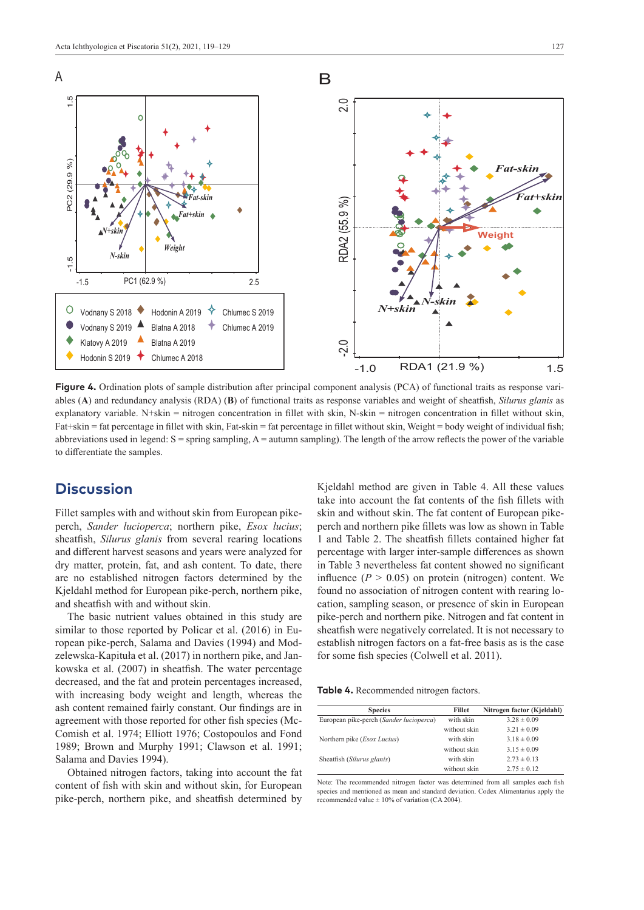

**Figure 4.** Ordination plots of sample distribution after principal component analysis (PCA) of functional traits as response variables (**A**) and redundancy analysis (RDA) (**B**) of functional traits as response variables and weight of sheatfish, *Silurus glanis* as explanatory variable. N+skin = nitrogen concentration in fillet with skin, N-skin = nitrogen concentration in fillet without skin, Fat+skin = fat percentage in fillet with skin, Fat-skin = fat percentage in fillet without skin, Weight = body weight of individual fish; abbreviations used in legend: S = spring sampling, A = autumn sampling). The length of the arrow reflects the power of the variable to differentiate the samples.

### **Discussion**

Fillet samples with and without skin from European pikeperch, *Sander lucioperca*; northern pike, *Esox lucius*; sheatfish, *Silurus glanis* from several rearing locations and different harvest seasons and years were analyzed for dry matter, protein, fat, and ash content. To date, there are no established nitrogen factors determined by the Kjeldahl method for European pike-perch, northern pike, and sheatfish with and without skin.

The basic nutrient values obtained in this study are similar to those reported by Policar et al. (2016) in European pike-perch, Salama and Davies (1994) and Modzelewska-Kapituła et al. (2017) in northern pike, and Jankowska et al. (2007) in sheatfish. The water percentage decreased, and the fat and protein percentages increased, with increasing body weight and length, whereas the ash content remained fairly constant. Our findings are in agreement with those reported for other fish species (Mc-Comish et al. 1974; Elliott 1976; Costopoulos and Fond 1989; Brown and Murphy 1991; Clawson et al. 1991; Salama and Davies 1994).

Obtained nitrogen factors, taking into account the fat content of fish with skin and without skin, for European pike-perch, northern pike, and sheatfish determined by

Kjeldahl method are given in Table 4. All these values take into account the fat contents of the fish fillets with skin and without skin. The fat content of European pikeperch and northern pike fillets was low as shown in Table 1 and Table 2. The sheatfish fillets contained higher fat percentage with larger inter-sample differences as shown in Table 3 nevertheless fat content showed no significant influence  $(P > 0.05)$  on protein (nitrogen) content. We found no association of nitrogen content with rearing location, sampling season, or presence of skin in European pike-perch and northern pike. Nitrogen and fat content in sheatfish were negatively correlated. It is not necessary to establish nitrogen factors on a fat-free basis as is the case for some fish species (Colwell et al. 2011).

**Table 4.** Recommended nitrogen factors.

| <b>Species</b>                          | <b>Fillet</b> | Nitrogen factor (Kjeldahl) |
|-----------------------------------------|---------------|----------------------------|
| European pike-perch (Sander lucioperca) | with skin     | $3.28 \pm 0.09$            |
|                                         | without skin  | $3.21 \pm 0.09$            |
| Northern pike ( <i>Esox Lucius</i> )    | with skin     | $3.18 \pm 0.09$            |
|                                         | without skin  | $3.15 \pm 0.09$            |
| Sheatfish (Silurus glanis)              | with skin     | $2.73 \pm 0.13$            |
|                                         | without skin  | $2.75 \pm 0.12$            |

Note: The recommended nitrogen factor was determined from all samples each fish species and mentioned as mean and standard deviation. Codex Alimentarius apply the recommended value  $\pm$  10% of variation (CA 2004).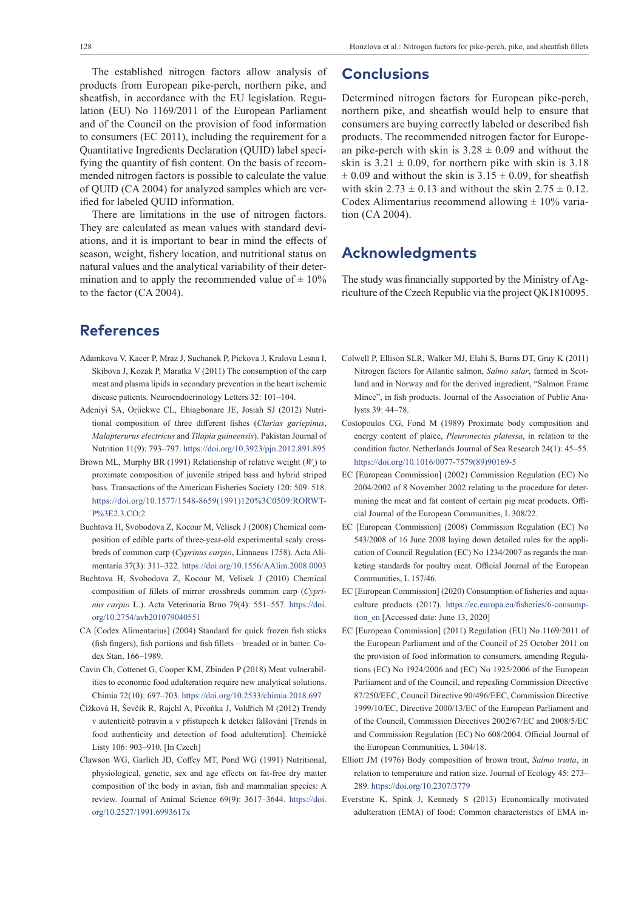128 Honzlova et al.: Nitrogen factors for pike-perch, pike, and sheatfish fillets

The established nitrogen factors allow analysis of products from European pike-perch, northern pike, and sheatfish, in accordance with the EU legislation. Regulation (EU) No 1169/2011 of the European Parliament and of the Council on the provision of food information to consumers (EC 2011), including the requirement for a Quantitative Ingredients Declaration (QUID) label specifying the quantity of fish content. On the basis of recommended nitrogen factors is possible to calculate the value of QUID (CA 2004) for analyzed samples which are verified for labeled QUID information.

There are limitations in the use of nitrogen factors. They are calculated as mean values with standard deviations, and it is important to bear in mind the effects of season, weight, fishery location, and nutritional status on natural values and the analytical variability of their determination and to apply the recommended value of  $\pm 10\%$ to the factor (CA 2004).

# **References**

- Adamkova V, Kacer P, Mraz J, Suchanek P, Pickova J, Kralova Lesna I, Skibova J, Kozak P, Maratka V (2011) The consumption of the carp meat and plasma lipids in secondary prevention in the heart ischemic disease patients. Neuroendocrinology Letters 32: 101–104.
- Adeniyi SA, Orjiekwe CL, Ehiagbonare JE, Josiah SJ (2012) Nutritional composition of three different fishes (*Clarias gariepinus*, *Malapterurus electricus* and *Tilapia guineensis*). Pakistan Journal of Nutrition 11(9): 793–797. <https://doi.org/10.3923/pjn.2012.891.895>
- Brown ML, Murphy BR (1991) Relationship of relative weight (*W*<sub>r</sub>) to proximate composition of juvenile striped bass and hybrid striped bass. Transactions of the American Fisheries Society 120: 509–518. [https://doi.org/10.1577/1548-8659\(1991\)120%3C0509:RORWT-](https://doi.org/10.1577/1548-8659(1991)120%3C0509:RORWTP%3E2.3.CO;2)[P%3E2.3.CO;2](https://doi.org/10.1577/1548-8659(1991)120%3C0509:RORWTP%3E2.3.CO;2)
- Buchtova H, Svobodova Z, Kocour M, Velisek J (2008) Chemical composition of edible parts of three-year-old experimental scaly crossbreds of common carp (*Cyprinus carpio*, Linnaeus 1758). Acta Alimentaria 37(3): 311–322.<https://doi.org/10.1556/AAlim.2008.0003>
- Buchtova H, Svobodova Z, Kocour M, Velisek J (2010) Chemical composition of fillets of mirror crossbreds common carp (*Cyprinus carpio* L.). Acta Veterinaria Brno 79(4): 551–557. [https://doi.](https://doi.org/10.2754/avb201079040551) [org/10.2754/avb201079040551](https://doi.org/10.2754/avb201079040551)
- CA [Codex Alimentarius] (2004) Standard for quick frozen fish sticks (fish fingers), fish portions and fish fillets – breaded or in batter. Codex Stan, 166–1989.
- Cavin Ch, Cottenet G, Cooper KM, Zbinden P (2018) Meat vulnerabilities to economic food adulteration require new analytical solutions. Chimia 72(10): 697–703.<https://doi.org/10.2533/chimia.2018.697>
- Čížková H, Ševčík R, Rajchl A, Pivoňka J, Voldřich M (2012) Trendy v autenticitě potravin a v přístupech k detekci falšování [Trends in food authenticity and detection of food adulteration]. Chemické Listy 106: 903–910. [In Czech]
- Clawson WG, Garlich JD, Coffey MT, Pond WG (1991) Nutritional, physiological, genetic, sex and age effects on fat-free dry matter composition of the body in avian, fish and mammalian species: A review. Journal of Animal Science 69(9): 3617–3644. [https://doi.](https://doi.org/10.2527/1991.6993617x) [org/10.2527/1991.6993617x](https://doi.org/10.2527/1991.6993617x)

# **Conclusions**

Determined nitrogen factors for European pike-perch, northern pike, and sheatfish would help to ensure that consumers are buying correctly labeled or described fish products. The recommended nitrogen factor for European pike-perch with skin is  $3.28 \pm 0.09$  and without the skin is  $3.21 \pm 0.09$ , for northern pike with skin is  $3.18$  $\pm$  0.09 and without the skin is 3.15  $\pm$  0.09, for sheatfish with skin  $2.73 \pm 0.13$  and without the skin  $2.75 \pm 0.12$ . Codex Alimentarius recommend allowing  $\pm$  10% variation (CA 2004).

# **Acknowledgments**

The study was financially supported by the Ministry of Agriculture of the Czech Republic via the project QK1810095.

- Colwell P, Ellison SLR, Walker MJ, Elahi S, Burns DT, Gray K (2011) Nitrogen factors for Atlantic salmon, *Salmo salar*, farmed in Scotland and in Norway and for the derived ingredient, "Salmon Frame Mince", in fish products. Journal of the Association of Public Analysts 39: 44–78.
- Costopoulos CG, Fond M (1989) Proximate body composition and energy content of plaice, *Pleuronectes platessa*, in relation to the condition factor. Netherlands Journal of Sea Research 24(1): 45–55. [https://doi.org/10.1016/0077-7579\(89\)90169-5](https://doi.org/10.1016/0077-7579(89)90169-5)
- EC [European Commission] (2002) Commission Regulation (EC) No 2004/2002 of 8 November 2002 relating to the procedure for determining the meat and fat content of certain pig meat products. Official Journal of the European Communities, L 308/22.
- EC [European Commission] (2008) Commission Regulation (EC) No 543/2008 of 16 June 2008 laying down detailed rules for the application of Council Regulation (EC) No 1234/2007 as regards the marketing standards for poultry meat. Official Journal of the European Communities, L 157/46.
- EC [European Commission] (2020) Consumption of fisheries and aquaculture products (2017). [https://ec.europa.eu/fisheries/6-consump](https://ec.europa.eu/fisheries/6-consumption_en)[tion\\_en](https://ec.europa.eu/fisheries/6-consumption_en) [Accessed date: June 13, 2020]
- EC [European Commission] (2011) Regulation (EU) No 1169/2011 of the European Parliament and of the Council of 25 October 2011 on the provision of food information to consumers, amending Regulations (EC) No 1924/2006 and (EC) No 1925/2006 of the European Parliament and of the Council, and repealing Commission Directive 87/250/EEC, Council Directive 90/496/EEC, Commission Directive 1999/10/EC, Directive 2000/13/EC of the European Parliament and of the Council, Commission Directives 2002/67/EC and 2008/5/EC and Commission Regulation (EC) No 608/2004. Official Journal of the European Communities, L 304/18.
- Elliott JM (1976) Body composition of brown trout, *Salmo trutta*, in relation to temperature and ration size. Journal of Ecology 45: 273– 289.<https://doi.org/10.2307/3779>
- Everstine K, Spink J, Kennedy S (2013) Economically motivated adulteration (EMA) of food: Common characteristics of EMA in-